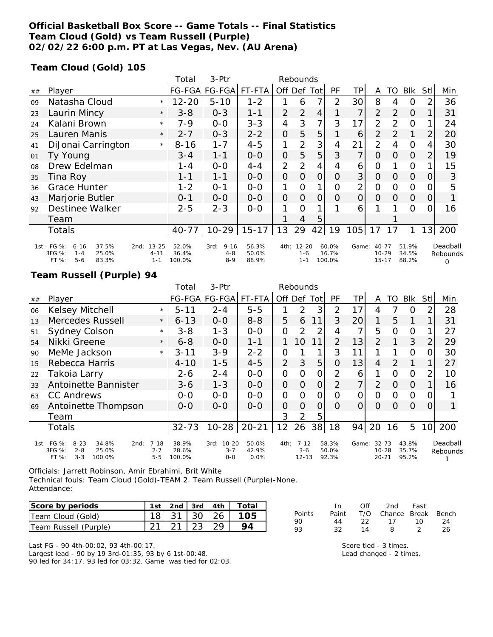## **Official Basketball Box Score -- Game Totals -- Final Statistics Team Cloud (Gold) vs Team Russell (Purple) 02/02/22 6:00 p.m. PT at Las Vegas, Nev. (AU Arena)**

### **Team Cloud (Gold) 105**

|    |                                                                                             |                                          | Total                    | 3-Ptr                                  | Rebounds                |                |                                 |                |                          |                 |                                     |          |                         |      |                                  |
|----|---------------------------------------------------------------------------------------------|------------------------------------------|--------------------------|----------------------------------------|-------------------------|----------------|---------------------------------|----------------|--------------------------|-----------------|-------------------------------------|----------|-------------------------|------|----------------------------------|
| ## | Player                                                                                      |                                          |                          | FG-FGA FG-FGA FT-FTA                   |                         |                | Off Def Tot                     |                | <b>PF</b>                | ΤP              | A                                   | TO       | Blk                     | Stll | Min                              |
| 09 | Natasha Cloud                                                                               | $\star$                                  | $12 - 20$                | $5 - 10$                               | $1 - 2$                 |                | 6                               | 7 <sub>1</sub> | 2                        | 30 <sup>1</sup> | 8                                   | 4        | $\Omega$                |      | 36                               |
| 23 | Laurin Mincy                                                                                | $\star$                                  | $3 - 8$                  | $0 - 3$                                | 1-1                     | $\overline{2}$ | $\overline{2}$                  | $\overline{4}$ |                          | 7               | $\overline{2}$                      | 2        | $\Omega$                |      | 31                               |
| 24 | Kalani Brown                                                                                | $\star$                                  | 7-9                      | $0 - 0$                                | $3 - 3$                 | 4              | 3                               | $\overline{7}$ | 3                        | 17              | 2                                   | 2        | $\Omega$                |      | 24                               |
| 25 | Lauren Manis                                                                                | $\star$                                  | $2 - 7$                  | $0 - 3$                                | $2 - 2$                 | 0              | 5                               | 5              |                          | 6               | $\overline{2}$                      | 2        |                         | 2    | 20                               |
| 41 | DiJonai Carrington                                                                          | $\star$                                  | $8 - 16$                 | $1 - 7$                                | $4 - 5$                 | 1              | $\overline{2}$                  | 3              | 4                        | 21              | $\overline{2}$                      | 4        | $\overline{O}$          | 4    | 30                               |
| 01 | Ty Young                                                                                    |                                          | $3 - 4$                  | $1 - 1$                                | $O-O$                   | 0              | 5                               | 5              | 3                        | $\overline{7}$  | $\Omega$                            | $\Omega$ | $\overline{O}$          | 2    | 19                               |
| 08 | Drew Edelman                                                                                |                                          | 1 - 4                    | $0 - 0$                                | $4 - 4$                 | $\overline{2}$ | 2                               | 4              | 4                        | 6               | 0                                   |          | $\Omega$                |      | 15                               |
| 35 | Tina Roy                                                                                    |                                          | $1 - 1$                  | $1 - 1$                                | $O-O$                   | 0              | $\Omega$                        | $\overline{O}$ | 0                        | 3 <sup>1</sup>  | $\Omega$                            | $\Omega$ | $\overline{O}$          | 0    | 3                                |
| 36 | <b>Grace Hunter</b>                                                                         |                                          | $1 - 2$                  | $O - 1$                                | $0 - 0$                 | 1              | $\Omega$                        | $\mathbf{1}$   | O                        | $\overline{2}$  | $\mathcal{O}$                       | $\Omega$ | $\overline{O}$          | O    | 5                                |
| 43 | Marjorie Butler                                                                             |                                          | $0 - 1$                  | $O-O$                                  | $O-O$                   | $\Omega$       | $\Omega$                        | $\Omega$       | 0                        | $\overline{O}$  | $\Omega$                            | $\Omega$ | $\overline{0}$          | 0    |                                  |
| 92 | Destinee Walker                                                                             |                                          | $2 - 5$                  | $2 - 3$                                | $0 - 0$                 | 1              | $\Omega$                        | 1              |                          | 6               |                                     |          | $\Omega$                |      | 16                               |
|    | Team                                                                                        |                                          |                          |                                        |                         |                | 4                               | 5              |                          |                 |                                     |          |                         |      |                                  |
|    | Totals                                                                                      |                                          | $40 - 77$                |                                        | $10-29$   15-17         | 13             | 29                              | 42             | 19                       | 105             | 17                                  | 17       |                         | 13   | 200                              |
|    | 1st - FG %:<br>37.5%<br>$6 - 16$<br>3FG %:<br>25.0%<br>$1 - 4$<br>FT %:<br>$5 - 6$<br>83.3% | $13 - 25$<br>2nd:<br>$4 - 11$<br>$1 - 1$ | 52.0%<br>36.4%<br>100.0% | $9 - 16$<br>3rd:<br>$4 - 8$<br>$8 - 9$ | 56.3%<br>50.0%<br>88.9% | 4th:           | $12 - 20$<br>$1 - 6$<br>$1 - 1$ |                | 60.0%<br>16.7%<br>100.0% | Game:           | $40 - 77$<br>$10 - 29$<br>$15 - 17$ |          | 51.9%<br>34.5%<br>88.2% |      | Deadball<br>Rebounds<br>$\Omega$ |

## **Team Russell (Purple) 94**

|    |                                                                                                      |                                | Total                    | 3-Ptr                                   | Rebounds               |                |                                  |     |                         |       |                                 |          |                         |                 |                      |
|----|------------------------------------------------------------------------------------------------------|--------------------------------|--------------------------|-----------------------------------------|------------------------|----------------|----------------------------------|-----|-------------------------|-------|---------------------------------|----------|-------------------------|-----------------|----------------------|
| ## | Player                                                                                               |                                |                          | FG-FGA FG-FGA                           | FT-FTA                 | Off Def        |                                  | Tot | PF                      | ΤP    | A                               | TO       | <b>Blk</b>              | <b>Stll</b>     | Min                  |
| 06 | Kelsey Mitchell                                                                                      | $\star$                        | $5 - 11$                 | $2 - 4$                                 | $5 - 5$                |                | 2                                | 3   | 2                       | 17    | 4                               | 7        | O                       | $\overline{2}$  | 28                   |
| 13 | Mercedes Russell                                                                                     | $\star$                        | $6 - 13$                 | $0 - 0$                                 | $8 - 8$                | 5              | 6                                | 11  | 3                       | 20    | 1                               | 5        |                         |                 | 31                   |
| 51 | <b>Sydney Colson</b>                                                                                 | $\star$                        | $3 - 8$                  | $1 - 3$                                 | $0-0$                  | $\mathbf{O}$   | $\mathcal{P}$                    | 2   | 4                       | 7     | 5                               | O        | $\Omega$                |                 | 27                   |
| 54 | Nikki Greene                                                                                         | $\star$                        | $6 - 8$                  | $0 - 0$                                 | $1 - 1$                |                | 10                               | 11  | 2                       | 13    | $\mathcal{P}$                   |          | 3                       | $\overline{2}$  | 29                   |
| 90 | MeMe Jackson                                                                                         | $\star$                        | $3 - 11$                 | $3 - 9$                                 | $2 - 2$                | $\mathcal{O}$  |                                  | 1   | 3                       | 11    |                                 |          | $\Omega$                | 0               | 30                   |
| 15 | Rebecca Harris                                                                                       |                                | $4 - 10$                 | $1 - 5$                                 | $4 - 5$                | $\overline{2}$ | 3                                | 5   | $\overline{0}$          | 13    | 4                               | 2        |                         |                 | 27                   |
| 22 | Takoia Larry                                                                                         |                                | $2 - 6$                  | $2 - 4$                                 | $0 - 0$                | $\mathcal{O}$  | O                                | O   | 2                       | 6     |                                 | O        | $\circ$                 | 2               | 10                   |
| 33 | Antoinette Bannister                                                                                 |                                | $3-6$                    | $1 - 3$                                 | $0 - 0$                | $\overline{O}$ | $\Omega$                         | 0   | 2                       | 7     | $\overline{2}$                  | 0        | $\Omega$                |                 | 16                   |
| 63 | <b>CC Andrews</b>                                                                                    |                                | $O-O$                    | $O-O$                                   | $0 - 0$                | $\Omega$       | $\Omega$                         | 0   | 0                       | 0     | O                               | O        | $\Omega$                | $\Omega$        |                      |
| 69 | Antoinette Thompson                                                                                  |                                | $O - O$                  | $0 - 0$                                 | $0-0$                  | $\overline{O}$ | $\Omega$                         | 0   | $\Omega$                | 0     | $\Omega$                        | $\Omega$ | $\Omega$                | $\Omega$        |                      |
|    | Team                                                                                                 |                                |                          |                                         |                        | 3              | 2                                | 5   |                         |       |                                 |          |                         |                 |                      |
|    | <b>Totals</b>                                                                                        |                                | $32 - 73$                | $10-28$                                 | $20 - 21$              | 12             | 26                               | 38  | 18                      | 94    | 20                              | 16       | 5                       | 10 <sup>1</sup> | 200                  |
|    | 1st - FG %:<br>$8 - 23$<br>34.8%<br>2nd:<br>3FG %:<br>$2 - 8$<br>25.0%<br>$3 - 3$<br>FT %:<br>100.0% | $7 - 18$<br>$2 - 7$<br>$5 - 5$ | 38.9%<br>28.6%<br>100.0% | $10 - 20$<br>3rd:<br>$3 - 7$<br>$0 - 0$ | 50.0%<br>42.9%<br>0.0% | 4th:           | $7 - 12$<br>$3 - 6$<br>$12 - 13$ |     | 58.3%<br>50.0%<br>92.3% | Game: | 32-73<br>$10 - 28$<br>$20 - 21$ |          | 43.8%<br>35.7%<br>95.2% |                 | Deadball<br>Rebounds |

Officials: Jarrett Robinson, Amir Ebrahimi, Brit White Technical fouls: Team Cloud (Gold)-TEAM 2. Team Russell (Purple)-None. Attendance:

| Score by periods      |                   |  | 1st   2nd   3rd   4th   Total |
|-----------------------|-------------------|--|-------------------------------|
| Team Cloud (Gold)     |                   |  | 18 31 30 26 105               |
| Team Russell (Purple) | 21   21   23   29 |  |                               |

Last FG - 90 4th-00:02, 93 4th-00:17. Largest lead - 90 by 19 3rd-01:35, 93 by 6 1st-00:48. 90 led for 34:17. 93 led for 03:32. Game was tied for 02:03.

|        | In In | Off  | 2nd Fast                     |               |    |
|--------|-------|------|------------------------------|---------------|----|
| Points |       |      | Paint T/O Chance Break Bench |               |    |
| 90     | 44    | - 22 | 17 10                        |               | 24 |
| 93     | 32.   | 14   | -8                           | $\mathcal{D}$ | 26 |

Score tied - 3 times. Lead changed - 2 times.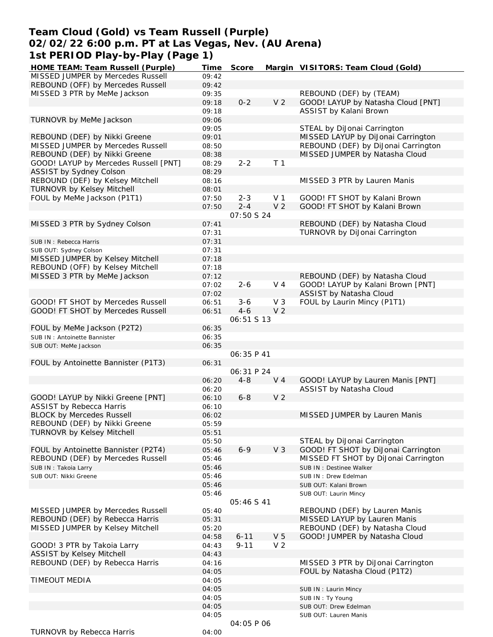# **Team Cloud (Gold) vs Team Russell (Purple) 02/02/22 6:00 p.m. PT at Las Vegas, Nev. (AU Arena) 1st PERIOD Play-by-Play (Page 1)**

| HOME TEAM: Team Russell (Purple)      | Time  | Score             |                | Margin VISITORS: Team Cloud (Gold)                               |
|---------------------------------------|-------|-------------------|----------------|------------------------------------------------------------------|
| MISSED JUMPER by Mercedes Russell     | 09:42 |                   |                |                                                                  |
| REBOUND (OFF) by Mercedes Russell     | 09:42 |                   |                |                                                                  |
| MISSED 3 PTR by MeMe Jackson          | 09:35 |                   |                | REBOUND (DEF) by (TEAM)                                          |
|                                       | 09:18 | $0 - 2$           | V <sub>2</sub> | GOOD! LAYUP by Natasha Cloud [PNT]                               |
|                                       | 09:18 |                   |                | ASSIST by Kalani Brown                                           |
| TURNOVR by MeMe Jackson               | 09:06 |                   |                |                                                                  |
|                                       | 09:05 |                   |                | STEAL by DiJonai Carrington                                      |
| REBOUND (DEF) by Nikki Greene         | 09:01 |                   |                | MISSED LAYUP by DiJonai Carrington                               |
| MISSED JUMPER by Mercedes Russell     | 08:50 |                   |                | REBOUND (DEF) by DiJonai Carrington                              |
| REBOUND (DEF) by Nikki Greene         | 08:38 |                   |                | MISSED JUMPER by Natasha Cloud                                   |
| GOOD! LAYUP by Mercedes Russell [PNT] | 08:29 | $2 - 2$           | T <sub>1</sub> |                                                                  |
| ASSIST by Sydney Colson               | 08:29 |                   |                |                                                                  |
| REBOUND (DEF) by Kelsey Mitchell      | 08:16 |                   |                | MISSED 3 PTR by Lauren Manis                                     |
| <b>TURNOVR by Kelsey Mitchell</b>     | 08:01 |                   |                |                                                                  |
| FOUL by MeMe Jackson (P1T1)           | 07:50 | $2 - 3$           | V 1            | GOOD! FT SHOT by Kalani Brown                                    |
|                                       | 07:50 | $2 - 4$           | V <sub>2</sub> | GOOD! FT SHOT by Kalani Brown                                    |
|                                       |       | <i>07:50 S 24</i> |                |                                                                  |
|                                       |       |                   |                |                                                                  |
| MISSED 3 PTR by Sydney Colson         | 07:41 |                   |                | REBOUND (DEF) by Natasha Cloud                                   |
|                                       | 07:31 |                   |                | TURNOVR by DiJonai Carrington                                    |
| SUB IN: Rebecca Harris                | 07:31 |                   |                |                                                                  |
| SUB OUT: Sydney Colson                | 07:31 |                   |                |                                                                  |
| MISSED JUMPER by Kelsey Mitchell      | 07:18 |                   |                |                                                                  |
| REBOUND (OFF) by Kelsey Mitchell      | 07:18 |                   |                |                                                                  |
| MISSED 3 PTR by MeMe Jackson          | 07:12 |                   |                | REBOUND (DEF) by Natasha Cloud                                   |
|                                       | 07:02 | $2 - 6$           | V <sub>4</sub> | GOOD! LAYUP by Kalani Brown [PNT]                                |
|                                       | 07:02 |                   |                | ASSIST by Natasha Cloud                                          |
| GOOD! FT SHOT by Mercedes Russell     | 06:51 | $3 - 6$           | V <sub>3</sub> | FOUL by Laurin Mincy (P1T1)                                      |
| GOOD! FT SHOT by Mercedes Russell     | 06:51 | $4 - 6$           | V <sub>2</sub> |                                                                  |
|                                       |       | 06:51 S 13        |                |                                                                  |
| FOUL by MeMe Jackson (P2T2)           | 06:35 |                   |                |                                                                  |
| SUB IN: Antoinette Bannister          | 06:35 |                   |                |                                                                  |
| SUB OUT: MeMe Jackson                 | 06:35 |                   |                |                                                                  |
|                                       |       | 06:35 P 41        |                |                                                                  |
| FOUL by Antoinette Bannister (P1T3)   | 06:31 |                   |                |                                                                  |
|                                       |       | 06:31 P 24        |                |                                                                  |
|                                       |       |                   |                |                                                                  |
|                                       | 06:20 | $4 - 8$           | V <sub>4</sub> | GOOD! LAYUP by Lauren Manis [PNT]                                |
|                                       | 06:20 |                   |                | ASSIST by Natasha Cloud                                          |
| GOOD! LAYUP by Nikki Greene [PNT]     | 06:10 | $6 - 8$           | V <sub>2</sub> |                                                                  |
| <b>ASSIST by Rebecca Harris</b>       | 06:10 |                   |                |                                                                  |
| <b>BLOCK by Mercedes Russell</b>      | 06:02 |                   |                | MISSED JUMPER by Lauren Manis                                    |
| REBOUND (DEF) by Nikki Greene         | 05:59 |                   |                |                                                                  |
| TURNOVR by Kelsey Mitchell            | 05:51 |                   |                |                                                                  |
|                                       | 05:50 |                   |                |                                                                  |
|                                       |       |                   |                | STEAL by DiJonai Carrington                                      |
| FOUL by Antoinette Bannister (P2T4)   | 05:46 | $6 - 9$           | V <sub>3</sub> | GOOD! FT SHOT by DiJonai Carrington                              |
|                                       |       |                   |                |                                                                  |
| REBOUND (DEF) by Mercedes Russell     | 05:46 |                   |                | MISSED FT SHOT by DiJonai Carrington<br>SUB IN : Destinee Walker |
| SUB IN: Takoia Larry                  | 05:46 |                   |                |                                                                  |
| SUB OUT: Nikki Greene                 | 05:46 |                   |                | SUB IN : Drew Edelman                                            |
|                                       | 05:46 |                   |                | SUB OUT: Kalani Brown                                            |
|                                       | 05:46 |                   |                | SUB OUT: Laurin Mincy                                            |
|                                       |       | 05:46 S 41        |                |                                                                  |
| MISSED JUMPER by Mercedes Russell     | 05:40 |                   |                | REBOUND (DEF) by Lauren Manis                                    |
| REBOUND (DEF) by Rebecca Harris       | 05:31 |                   |                | MISSED LAYUP by Lauren Manis                                     |
| MISSED JUMPER by Kelsey Mitchell      | 05:20 |                   |                | REBOUND (DEF) by Natasha Cloud                                   |
|                                       | 04:58 | $6 - 11$          | V <sub>5</sub> | GOOD! JUMPER by Natasha Cloud                                    |
| GOOD! 3 PTR by Takoia Larry           | 04:43 | $9 - 11$          | V <sub>2</sub> |                                                                  |
| <b>ASSIST by Kelsey Mitchell</b>      | 04:43 |                   |                |                                                                  |
| REBOUND (DEF) by Rebecca Harris       | 04:16 |                   |                | MISSED 3 PTR by DiJonai Carrington                               |
|                                       | 04:05 |                   |                | FOUL by Natasha Cloud (P1T2)                                     |
| TIMEOUT MEDIA                         | 04:05 |                   |                |                                                                  |
|                                       | 04:05 |                   |                | SUB IN: Laurin Mincy                                             |
|                                       | 04:05 |                   |                |                                                                  |
|                                       |       |                   |                | SUB IN: Ty Young                                                 |
|                                       | 04:05 |                   |                | SUB OUT: Drew Edelman                                            |
|                                       | 04:05 | <i>04:05 P 06</i> |                | SUB OUT: Lauren Manis                                            |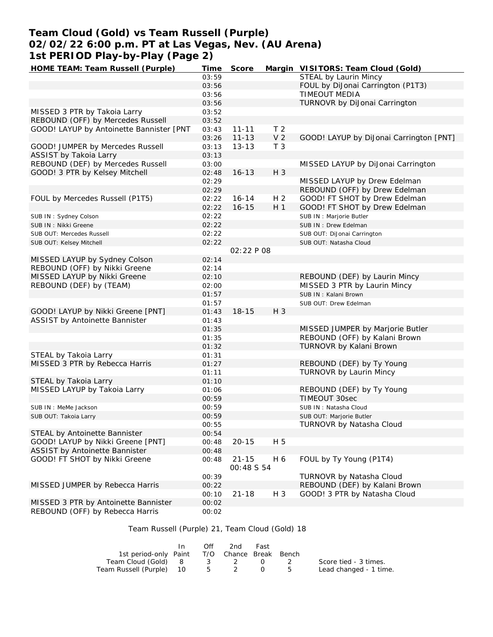# **Team Cloud (Gold) vs Team Russell (Purple) 02/02/22 6:00 p.m. PT at Las Vegas, Nev. (AU Arena) 1st PERIOD Play-by-Play (Page 2)**

| HOME TEAM: Team Russell (Purple)         | Time  | Score      |                | Margin VISITORS: Team Cloud (Gold)      |
|------------------------------------------|-------|------------|----------------|-----------------------------------------|
|                                          | 03:59 |            |                | STEAL by Laurin Mincy                   |
|                                          | 03:56 |            |                | FOUL by DiJonai Carrington (P1T3)       |
|                                          | 03:56 |            |                | <b>TIMEOUT MEDIA</b>                    |
|                                          | 03:56 |            |                | TURNOVR by DiJonai Carrington           |
| MISSED 3 PTR by Takoia Larry             | 03:52 |            |                |                                         |
| REBOUND (OFF) by Mercedes Russell        | 03:52 |            |                |                                         |
| GOOD! LAYUP by Antoinette Bannister [PNT | 03:43 | $11 - 11$  | T <sub>2</sub> |                                         |
|                                          | 03:26 | $11 - 13$  | V <sub>2</sub> |                                         |
|                                          |       |            | T <sub>3</sub> | GOOD! LAYUP by DiJonai Carrington [PNT] |
| GOOD! JUMPER by Mercedes Russell         | 03:13 | $13 - 13$  |                |                                         |
| ASSIST by Takoia Larry                   | 03:13 |            |                |                                         |
| REBOUND (DEF) by Mercedes Russell        | 03:00 |            |                | MISSED LAYUP by DiJonai Carrington      |
| GOOD! 3 PTR by Kelsey Mitchell           | 02:48 | $16 - 13$  | H 3            |                                         |
|                                          | 02:29 |            |                | MISSED LAYUP by Drew Edelman            |
|                                          | 02:29 |            |                | REBOUND (OFF) by Drew Edelman           |
| FOUL by Mercedes Russell (P1T5)          | 02:22 | $16 - 14$  | H <sub>2</sub> | GOOD! FT SHOT by Drew Edelman           |
|                                          | 02:22 | $16 - 15$  | H <sub>1</sub> | GOOD! FT SHOT by Drew Edelman           |
| SUB IN: Sydney Colson                    | 02:22 |            |                | SUB IN : Marjorie Butler                |
| SUB IN: Nikki Greene                     | 02:22 |            |                | SUB IN: Drew Edelman                    |
| SUB OUT: Mercedes Russell                | 02:22 |            |                | SUB OUT: DiJonai Carrington             |
| SUB OUT: Kelsey Mitchell                 | 02:22 |            |                | SUB OUT: Natasha Cloud                  |
|                                          |       | 02:22 P 08 |                |                                         |
| MISSED LAYUP by Sydney Colson            | 02:14 |            |                |                                         |
|                                          |       |            |                |                                         |
| REBOUND (OFF) by Nikki Greene            | 02:14 |            |                |                                         |
| MISSED LAYUP by Nikki Greene             | 02:10 |            |                | REBOUND (DEF) by Laurin Mincy           |
| REBOUND (DEF) by (TEAM)                  | 02:00 |            |                | MISSED 3 PTR by Laurin Mincy            |
|                                          | 01:57 |            |                | SUB IN: Kalani Brown                    |
|                                          | 01:57 |            |                | SUB OUT: Drew Edelman                   |
| GOOD! LAYUP by Nikki Greene [PNT]        | 01:43 | $18 - 15$  | H 3            |                                         |
| ASSIST by Antoinette Bannister           | 01:43 |            |                |                                         |
|                                          | 01:35 |            |                | MISSED JUMPER by Marjorie Butler        |
|                                          | 01:35 |            |                | REBOUND (OFF) by Kalani Brown           |
|                                          | 01:32 |            |                | TURNOVR by Kalani Brown                 |
| STEAL by Takoia Larry                    | 01:31 |            |                |                                         |
| MISSED 3 PTR by Rebecca Harris           | 01:27 |            |                | REBOUND (DEF) by Ty Young               |
|                                          | 01:11 |            |                | TURNOVR by Laurin Mincy                 |
| STEAL by Takoia Larry                    | 01:10 |            |                |                                         |
| MISSED LAYUP by Takoia Larry             |       |            |                | REBOUND (DEF) by Ty Young               |
|                                          | 01:06 |            |                |                                         |
|                                          | 00:59 |            |                | TIMEOUT 30sec                           |
| SUB IN : MeMe Jackson                    | 00:59 |            |                | SUB IN: Natasha Cloud                   |
| SUB OUT: Takoia Larry                    | 00:59 |            |                | SUB OUT: Marjorie Butler                |
|                                          | 00:55 |            |                | TURNOVR by Natasha Cloud                |
| STEAL by Antoinette Bannister            | 00:54 |            |                |                                         |
| GOOD! LAYUP by Nikki Greene [PNT]        | 00:48 | $20 - 15$  | H 5            |                                         |
| ASSIST by Antoinette Bannister           | 00:48 |            |                |                                         |
| GOOD! FT SHOT by Nikki Greene            | 00:48 | $21 - 15$  | H 6            | FOUL by Ty Young (P1T4)                 |
|                                          |       | 00:48 S 54 |                |                                         |
|                                          | 00:39 |            |                | TURNOVR by Natasha Cloud                |
| MISSED JUMPER by Rebecca Harris          | 00:22 |            |                | REBOUND (DEF) by Kalani Brown           |
|                                          | 00:10 | $21 - 18$  | H 3            | GOOD! 3 PTR by Natasha Cloud            |
| MISSED 3 PTR by Antoinette Bannister     |       |            |                |                                         |
|                                          | 00:02 |            |                |                                         |
| REBOUND (OFF) by Rebecca Harris          | 00:02 |            |                |                                         |

# Team Russell (Purple) 21, Team Cloud (Gold) 18

|                                              | In In | Off. | 2nd   | Fast             |                        |
|----------------------------------------------|-------|------|-------|------------------|------------------------|
| 1st period-only Paint T/O Chance Break Bench |       |      |       |                  |                        |
| Team Cloud (Gold) 8                          |       |      | 3 2 0 |                  | Score tied - 3 times.  |
| Team Russell (Purple) 10                     |       |      | 5 2   | $\left( \right)$ | Lead changed - 1 time. |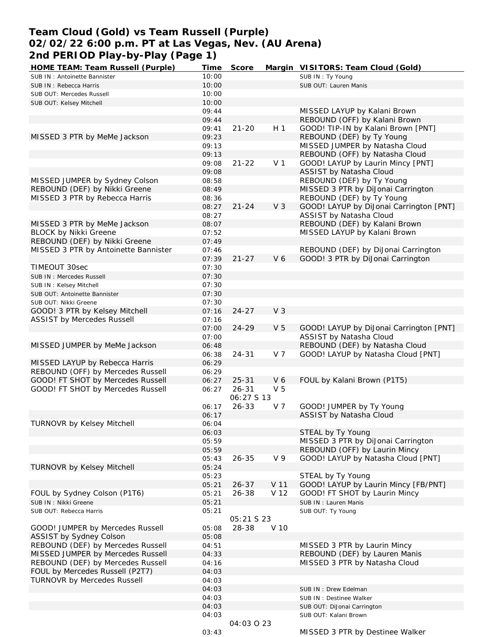# **Team Cloud (Gold) vs Team Russell (Purple) 02/02/22 6:00 p.m. PT at Las Vegas, Nev. (AU Arena) 2nd PERIOD Play-by-Play (Page 1)**

| HOME TEAM: Team Russell (Purple)     | Time  | Score      |                | Margin VISITORS: Team Cloud (Gold)      |
|--------------------------------------|-------|------------|----------------|-----------------------------------------|
| SUB IN: Antoinette Bannister         | 10:00 |            |                | SUB IN: Ty Young                        |
| SUB IN: Rebecca Harris               | 10:00 |            |                | SUB OUT: Lauren Manis                   |
| SUB OUT: Mercedes Russell            | 10:00 |            |                |                                         |
| SUB OUT: Kelsey Mitchell             | 10:00 |            |                |                                         |
|                                      | 09:44 |            |                | MISSED LAYUP by Kalani Brown            |
|                                      | 09:44 |            |                | REBOUND (OFF) by Kalani Brown           |
|                                      | 09:41 | $21 - 20$  | H <sub>1</sub> | GOOD! TIP-IN by Kalani Brown [PNT]      |
|                                      |       |            |                |                                         |
| MISSED 3 PTR by MeMe Jackson         | 09:23 |            |                | REBOUND (DEF) by Ty Young               |
|                                      | 09:13 |            |                | MISSED JUMPER by Natasha Cloud          |
|                                      | 09:13 |            |                | REBOUND (OFF) by Natasha Cloud          |
|                                      | 09:08 | $21 - 22$  | V <sub>1</sub> | GOOD! LAYUP by Laurin Mincy [PNT]       |
|                                      | 09:08 |            |                | ASSIST by Natasha Cloud                 |
| MISSED JUMPER by Sydney Colson       | 08:58 |            |                | REBOUND (DEF) by Ty Young               |
| REBOUND (DEF) by Nikki Greene        | 08:49 |            |                | MISSED 3 PTR by DiJonai Carrington      |
| MISSED 3 PTR by Rebecca Harris       | 08:36 |            |                | REBOUND (DEF) by Ty Young               |
|                                      | 08:27 | $21 - 24$  | V <sub>3</sub> | GOOD! LAYUP by DiJonai Carrington [PNT] |
|                                      | 08:27 |            |                | ASSIST by Natasha Cloud                 |
| MISSED 3 PTR by MeMe Jackson         | 08:07 |            |                | REBOUND (DEF) by Kalani Brown           |
| <b>BLOCK by Nikki Greene</b>         | 07:52 |            |                | MISSED LAYUP by Kalani Brown            |
| REBOUND (DEF) by Nikki Greene        | 07:49 |            |                |                                         |
|                                      |       |            |                |                                         |
| MISSED 3 PTR by Antoinette Bannister | 07:46 |            |                | REBOUND (DEF) by DiJonai Carrington     |
|                                      | 07:39 | $21 - 27$  | V 6            | GOOD! 3 PTR by DiJonai Carrington       |
| TIMEOUT 30sec                        | 07:30 |            |                |                                         |
| SUB IN: Mercedes Russell             | 07:30 |            |                |                                         |
| SUB IN: Kelsey Mitchell              | 07:30 |            |                |                                         |
| SUB OUT: Antoinette Bannister        | 07:30 |            |                |                                         |
| SUB OUT: Nikki Greene                | 07:30 |            |                |                                         |
| GOOD! 3 PTR by Kelsey Mitchell       | 07:16 | $24 - 27$  | V <sub>3</sub> |                                         |
| <b>ASSIST by Mercedes Russell</b>    | 07:16 |            |                |                                         |
|                                      | 07:00 | $24 - 29$  | V <sub>5</sub> | GOOD! LAYUP by DiJonai Carrington [PNT] |
|                                      | 07:00 |            |                | ASSIST by Natasha Cloud                 |
| MISSED JUMPER by MeMe Jackson        | 06:48 |            |                | REBOUND (DEF) by Natasha Cloud          |
|                                      |       |            | V 7            | GOOD! LAYUP by Natasha Cloud [PNT]      |
|                                      | 06:38 | $24 - 31$  |                |                                         |
| MISSED LAYUP by Rebecca Harris       | 06:29 |            |                |                                         |
| REBOUND (OFF) by Mercedes Russell    | 06:29 |            |                |                                         |
| GOOD! FT SHOT by Mercedes Russell    | 06:27 | $25 - 31$  | V6             | FOUL by Kalani Brown (P1T5)             |
| GOOD! FT SHOT by Mercedes Russell    | 06:27 | $26 - 31$  | V <sub>5</sub> |                                         |
|                                      |       | 06:27 S 13 |                |                                         |
|                                      | 06:17 | $26 - 33$  | V 7            | GOOD! JUMPER by Ty Young                |
|                                      | 06:17 |            |                | ASSIST by Natasha Cloud                 |
| TURNOVR by Kelsey Mitchell           | 06:04 |            |                |                                         |
|                                      | 06:03 |            |                | STEAL by Ty Young                       |
|                                      | 05:59 |            |                | MISSED 3 PTR by DiJonai Carrington      |
|                                      | 05:59 |            |                | REBOUND (OFF) by Laurin Mincy           |
|                                      | 05:43 | $26 - 35$  | V <sub>9</sub> | GOOD! LAYUP by Natasha Cloud [PNT]      |
| TURNOVR by Kelsey Mitchell           | 05:24 |            |                |                                         |
|                                      |       |            |                | STEAL by Ty Young                       |
|                                      | 05:23 |            |                |                                         |
|                                      | 05:21 | $26 - 37$  | V 11           | GOOD! LAYUP by Laurin Mincy [FB/PNT]    |
| FOUL by Sydney Colson (P1T6)         | 05:21 | $26 - 38$  | V 12           | GOOD! FT SHOT by Laurin Mincy           |
| SUB IN: Nikki Greene                 | 05:21 |            |                | SUB IN: Lauren Manis                    |
| SUB OUT: Rebecca Harris              | 05:21 |            |                | SUB OUT: Ty Young                       |
|                                      |       | 05:21 S 23 |                |                                         |
| GOOD! JUMPER by Mercedes Russell     | 05:08 | 28-38      | V 10           |                                         |
| ASSIST by Sydney Colson              | 05:08 |            |                |                                         |
| REBOUND (DEF) by Mercedes Russell    | 04:51 |            |                | MISSED 3 PTR by Laurin Mincy            |
| MISSED JUMPER by Mercedes Russell    | 04:33 |            |                | REBOUND (DEF) by Lauren Manis           |
| REBOUND (DEF) by Mercedes Russell    | 04:16 |            |                | MISSED 3 PTR by Natasha Cloud           |
| FOUL by Mercedes Russell (P2T7)      | 04:03 |            |                |                                         |
| <b>TURNOVR by Mercedes Russell</b>   | 04:03 |            |                |                                         |
|                                      | 04:03 |            |                | SUB IN: Drew Edelman                    |
|                                      |       |            |                |                                         |
|                                      | 04:03 |            |                | SUB IN : Destinee Walker                |
|                                      | 04:03 |            |                | SUB OUT: DiJonai Carrington             |
|                                      | 04:03 |            |                | SUB OUT: Kalani Brown                   |
|                                      |       | 04:03 0 23 |                |                                         |
|                                      | 03:43 |            |                | MISSED 3 PTR by Destinee Walker         |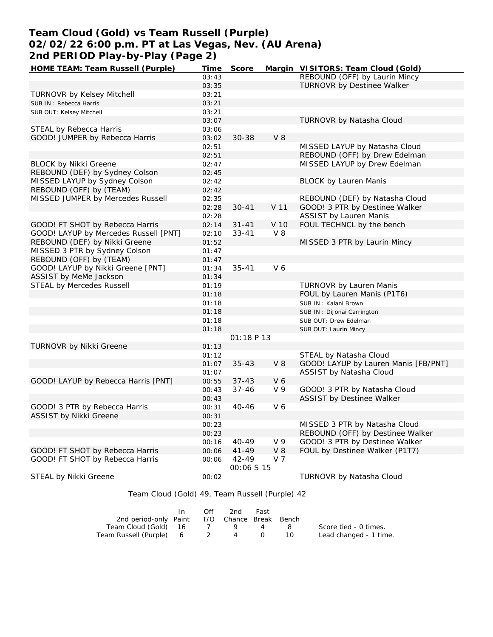# **Team Cloud (Gold) vs Team Russell (Purple) 02/02/22 6:00 p.m. PT at Las Vegas, Nev. (AU Arena) 2nd PERIOD Play-by-Play (Page 2)**

| HOME TEAM: Team Russell (Purple)                           | Time  | Score               |                | Margin VISITORS: Team Cloud (Gold)   |
|------------------------------------------------------------|-------|---------------------|----------------|--------------------------------------|
|                                                            | 03:43 |                     |                | REBOUND (OFF) by Laurin Mincy        |
|                                                            | 03:35 |                     |                | TURNOVR by Destinee Walker           |
| <b>TURNOVR by Kelsey Mitchell</b>                          | 03:21 |                     |                |                                      |
| SUB IN: Rebecca Harris                                     | 03:21 |                     |                |                                      |
| SUB OUT: Kelsey Mitchell                                   | 03:21 |                     |                |                                      |
|                                                            | 03:07 |                     |                | TURNOVR by Natasha Cloud             |
| STEAL by Rebecca Harris                                    | 03:06 |                     |                |                                      |
| GOOD! JUMPER by Rebecca Harris                             | 03:02 | $30 - 38$           | $V_8$          |                                      |
|                                                            | 02:51 |                     |                | MISSED LAYUP by Natasha Cloud        |
|                                                            | 02:51 |                     |                | REBOUND (OFF) by Drew Edelman        |
| <b>BLOCK by Nikki Greene</b>                               | 02:47 |                     |                | MISSED LAYUP by Drew Edelman         |
| REBOUND (DEF) by Sydney Colson                             | 02:45 |                     |                |                                      |
| MISSED LAYUP by Sydney Colson                              | 02:42 |                     |                | <b>BLOCK by Lauren Manis</b>         |
| REBOUND (OFF) by (TEAM)                                    | 02:42 |                     |                |                                      |
| MISSED JUMPER by Mercedes Russell                          | 02:35 |                     |                | REBOUND (DEF) by Natasha Cloud       |
|                                                            | 02:28 | $30 - 41$           | V 11           | GOOD! 3 PTR by Destinee Walker       |
|                                                            | 02:28 |                     |                | <b>ASSIST by Lauren Manis</b>        |
| GOOD! FT SHOT by Rebecca Harris                            | 02:14 | $31 - 41$           | V 10           | FOUL TECHNCL by the bench            |
| GOOD! LAYUP by Mercedes Russell [PNT]                      | 02:10 | $33 - 41$           | V8             |                                      |
| REBOUND (DEF) by Nikki Greene                              | 01:52 |                     |                | MISSED 3 PTR by Laurin Mincy         |
| MISSED 3 PTR by Sydney Colson                              | 01:47 |                     |                |                                      |
| REBOUND (OFF) by (TEAM)                                    | 01:47 |                     |                |                                      |
| GOOD! LAYUP by Nikki Greene [PNT]                          |       | $35 - 41$           | V6             |                                      |
|                                                            | 01:34 |                     |                |                                      |
| ASSIST by MeMe Jackson<br><b>STEAL by Mercedes Russell</b> | 01:34 |                     |                | <b>TURNOVR by Lauren Manis</b>       |
|                                                            | 01:19 |                     |                |                                      |
|                                                            | 01:18 |                     |                | FOUL by Lauren Manis (P1T6)          |
|                                                            | 01:18 |                     |                | SUB IN: Kalani Brown                 |
|                                                            | 01:18 |                     |                | SUB IN: DiJonai Carrington           |
|                                                            | 01:18 |                     |                | SUB OUT: Drew Edelman                |
|                                                            | 01:18 |                     |                | SUB OUT: Laurin Mincy                |
|                                                            |       | O1:18 P 13          |                |                                      |
| TURNOVR by Nikki Greene                                    | 01:13 |                     |                |                                      |
|                                                            | 01:12 |                     |                | STEAL by Natasha Cloud               |
|                                                            | 01:07 | $35 - 43$           | $V_8$          | GOOD! LAYUP by Lauren Manis [FB/PNT] |
|                                                            | 01:07 |                     |                | ASSIST by Natasha Cloud              |
| GOOD! LAYUP by Rebecca Harris [PNT]                        | 00:55 | $37 - 43$           | V6             |                                      |
|                                                            | 00:43 | $37 - 46$           | V <sub>9</sub> | GOOD! 3 PTR by Natasha Cloud         |
|                                                            | 00:43 |                     |                | ASSIST by Destinee Walker            |
| GOOD! 3 PTR by Rebecca Harris                              | 00:31 | $40 - 46$           | V6             |                                      |
| ASSIST by Nikki Greene                                     | 00:31 |                     |                |                                      |
|                                                            | 00:23 |                     |                | MISSED 3 PTR by Natasha Cloud        |
|                                                            | 00:23 |                     |                | REBOUND (OFF) by Destinee Walker     |
|                                                            | 00:16 | 40-49               | V 9            | GOOD! 3 PTR by Destinee Walker       |
| GOOD! FT SHOT by Rebecca Harris                            | 00:06 | $41 - 49$           | $V_8$          | FOUL by Destinee Walker (P1T7)       |
| GOOD! FT SHOT by Rebecca Harris                            | 00:06 | 42-49<br>00:06 S 15 | V 7            |                                      |
| STEAL by Nikki Greene                                      | 00:02 |                     |                | TURNOVR by Natasha Cloud             |

Team Cloud (Gold) 49, Team Russell (Purple) 42

|                                              | In. | Off | 2nd      | Fast       |    |                        |
|----------------------------------------------|-----|-----|----------|------------|----|------------------------|
| 2nd period-only Paint T/O Chance Break Bench |     |     |          |            |    |                        |
| Team Cloud (Gold) 16                         |     |     |          |            |    | Score tied - 0 times.  |
| Team Russell (Purple) 6 2                    |     |     | $\sim$ 4 | $\bigcirc$ | 10 | Lead changed - 1 time. |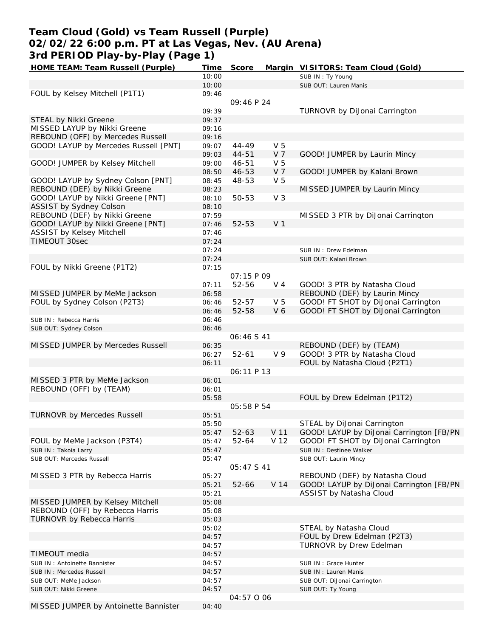# **Team Cloud (Gold) vs Team Russell (Purple) 02/02/22 6:00 p.m. PT at Las Vegas, Nev. (AU Arena) 3rd PERIOD Play-by-Play (Page 1)**

| HOME TEAM: Team Russell (Purple)      | Time  | Score      |                 | Margin VISITORS: Team Cloud (Gold)       |
|---------------------------------------|-------|------------|-----------------|------------------------------------------|
|                                       | 10:00 |            |                 | SUB IN: Ty Young                         |
|                                       | 10:00 |            |                 | SUB OUT: Lauren Manis                    |
| FOUL by Kelsey Mitchell (P1T1)        | 09:46 |            |                 |                                          |
|                                       |       | 09:46 P 24 |                 |                                          |
|                                       |       |            |                 |                                          |
|                                       | 09:39 |            |                 | TURNOVR by DiJonai Carrington            |
| STEAL by Nikki Greene                 | 09:37 |            |                 |                                          |
| MISSED LAYUP by Nikki Greene          | 09:16 |            |                 |                                          |
| REBOUND (OFF) by Mercedes Russell     | 09:16 |            |                 |                                          |
| GOOD! LAYUP by Mercedes Russell [PNT] | 09:07 | $44 - 49$  | V <sub>5</sub>  |                                          |
|                                       | 09:03 | 44-51      | V <sub>7</sub>  | GOOD! JUMPER by Laurin Mincy             |
| GOOD! JUMPER by Kelsey Mitchell       | 09:00 | $46 - 51$  | V <sub>5</sub>  |                                          |
|                                       |       |            |                 |                                          |
|                                       | 08:50 | 46-53      | V <sub>7</sub>  | GOOD! JUMPER by Kalani Brown             |
| GOOD! LAYUP by Sydney Colson [PNT]    | 08:45 | 48-53      | V <sub>5</sub>  |                                          |
| REBOUND (DEF) by Nikki Greene         | 08:23 |            |                 | MISSED JUMPER by Laurin Mincy            |
| GOOD! LAYUP by Nikki Greene [PNT]     | 08:10 | 50-53      | V <sub>3</sub>  |                                          |
| ASSIST by Sydney Colson               | 08:10 |            |                 |                                          |
| REBOUND (DEF) by Nikki Greene         | 07:59 |            |                 | MISSED 3 PTR by DiJonai Carrington       |
| GOOD! LAYUP by Nikki Greene [PNT]     |       | 52-53      | V <sub>1</sub>  |                                          |
|                                       | 07:46 |            |                 |                                          |
| ASSIST by Kelsey Mitchell             | 07:46 |            |                 |                                          |
| TIMEOUT 30sec                         | 07:24 |            |                 |                                          |
|                                       | 07:24 |            |                 | SUB IN: Drew Edelman                     |
|                                       | 07:24 |            |                 | SUB OUT: Kalani Brown                    |
| FOUL by Nikki Greene (P1T2)           | 07:15 |            |                 |                                          |
|                                       |       | O7:15 P 09 |                 |                                          |
|                                       |       |            |                 |                                          |
|                                       | 07:11 | 52-56      | V <sub>4</sub>  | GOOD! 3 PTR by Natasha Cloud             |
| MISSED JUMPER by MeMe Jackson         | 06:58 |            |                 | REBOUND (DEF) by Laurin Mincy            |
| FOUL by Sydney Colson (P2T3)          | 06:46 | 52-57      | V <sub>5</sub>  | GOOD! FT SHOT by DiJonai Carrington      |
|                                       | 06:46 | 52-58      | V6              | GOOD! FT SHOT by DiJonai Carrington      |
| SUB IN: Rebecca Harris                | 06:46 |            |                 |                                          |
|                                       | 06:46 |            |                 |                                          |
| SUB OUT: Sydney Colson                |       |            |                 |                                          |
|                                       |       | 06:46 S 41 |                 |                                          |
| MISSED JUMPER by Mercedes Russell     | 06:35 |            |                 | REBOUND (DEF) by (TEAM)                  |
|                                       | 06:27 | $52 - 61$  | V 9             | GOOD! 3 PTR by Natasha Cloud             |
|                                       | 06:11 |            |                 | FOUL by Natasha Cloud (P2T1)             |
|                                       |       | 06:11 P 13 |                 |                                          |
| MISSED 3 PTR by MeMe Jackson          | 06:01 |            |                 |                                          |
| REBOUND (OFF) by (TEAM)               | 06:01 |            |                 |                                          |
|                                       |       |            |                 |                                          |
|                                       | 05:58 |            |                 | FOUL by Drew Edelman (P1T2)              |
|                                       |       | 05:58 P 54 |                 |                                          |
| <b>TURNOVR by Mercedes Russell</b>    | 05:51 |            |                 |                                          |
|                                       | 05:50 |            |                 | STEAL by DiJonai Carrington              |
|                                       | 05:47 | $52 - 63$  | V 11            | GOOD! LAYUP by DiJonai Carrington [FB/PN |
| FOUL by MeMe Jackson (P3T4)           | 05:47 | $52 - 64$  | V 12            | GOOD! FT SHOT by DiJonai Carrington      |
|                                       |       |            |                 |                                          |
| SUB IN: Takoia Larry                  | 05:47 |            |                 | SUB IN: Destinee Walker                  |
| SUB OUT: Mercedes Russell             | 05:47 |            |                 | SUB OUT: Laurin Mincy                    |
|                                       |       | 05:47 S 41 |                 |                                          |
| MISSED 3 PTR by Rebecca Harris        | 05:27 |            |                 | REBOUND (DEF) by Natasha Cloud           |
|                                       | 05:21 | $52 - 66$  | V <sub>14</sub> | GOOD! LAYUP by DiJonai Carrington [FB/PN |
|                                       | 05:21 |            |                 | ASSIST by Natasha Cloud                  |
|                                       |       |            |                 |                                          |
| MISSED JUMPER by Kelsey Mitchell      | 05:08 |            |                 |                                          |
| REBOUND (OFF) by Rebecca Harris       | 05:08 |            |                 |                                          |
| <b>TURNOVR by Rebecca Harris</b>      | 05:03 |            |                 |                                          |
|                                       | 05:02 |            |                 | STEAL by Natasha Cloud                   |
|                                       | 04:57 |            |                 | FOUL by Drew Edelman (P2T3)              |
|                                       | 04:57 |            |                 | TURNOVR by Drew Edelman                  |
|                                       |       |            |                 |                                          |
| TIMEOUT media                         | 04:57 |            |                 |                                          |
| SUB IN: Antoinette Bannister          | 04:57 |            |                 | SUB IN: Grace Hunter                     |
| SUB IN: Mercedes Russell              | 04:57 |            |                 | SUB IN: Lauren Manis                     |
| SUB OUT: MeMe Jackson                 | 04:57 |            |                 | SUB OUT: DiJonai Carrington              |
| SUB OUT: Nikki Greene                 | 04:57 |            |                 | SUB OUT: Ty Young                        |
|                                       |       | 04:57 0 06 |                 |                                          |
|                                       |       |            |                 |                                          |
| MISSED JUMPER by Antoinette Bannister | 04:40 |            |                 |                                          |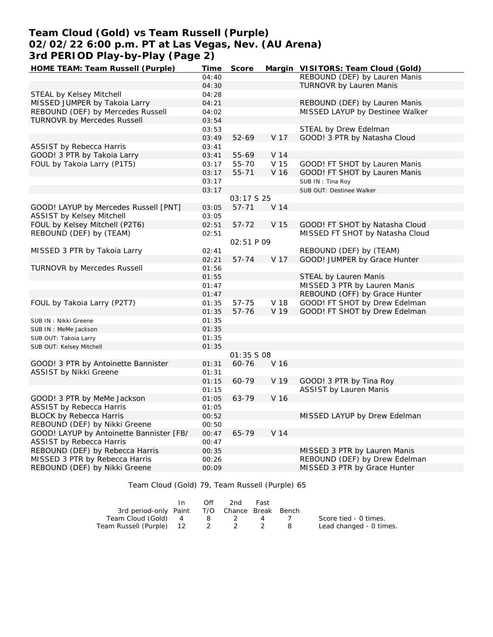# **Team Cloud (Gold) vs Team Russell (Purple) 02/02/22 6:00 p.m. PT at Las Vegas, Nev. (AU Arena) 3rd PERIOD Play-by-Play (Page 2)**

| HOME TEAM: Team Russell (Purple)         | Time  | Score      |                 | Margin VISITORS: Team Cloud (Gold) |
|------------------------------------------|-------|------------|-----------------|------------------------------------|
|                                          | 04:40 |            |                 | REBOUND (DEF) by Lauren Manis      |
|                                          | 04:30 |            |                 | TURNOVR by Lauren Manis            |
| STEAL by Kelsey Mitchell                 | 04:28 |            |                 |                                    |
| MISSED JUMPER by Takoia Larry            | 04:21 |            |                 | REBOUND (DEF) by Lauren Manis      |
| REBOUND (DEF) by Mercedes Russell        | 04:02 |            |                 | MISSED LAYUP by Destinee Walker    |
| <b>TURNOVR by Mercedes Russell</b>       | 03:54 |            |                 |                                    |
|                                          | 03:53 |            |                 | STEAL by Drew Edelman              |
|                                          | 03:49 | 52-69      | V 17            | GOOD! 3 PTR by Natasha Cloud       |
| <b>ASSIST by Rebecca Harris</b>          | 03:41 |            |                 |                                    |
| GOOD! 3 PTR by Takoia Larry              | 03:41 | 55-69      | V 14            |                                    |
| FOUL by Takoia Larry (P1T5)              |       |            | V 15            | GOOD! FT SHOT by Lauren Manis      |
|                                          | 03:17 | 55-70      |                 |                                    |
|                                          | 03:17 | $55 - 71$  | V 16            | GOOD! FT SHOT by Lauren Manis      |
|                                          | 03:17 |            |                 | SUB IN: Tina Roy                   |
|                                          | 03:17 |            |                 | SUB OUT: Destinee Walker           |
|                                          |       | 03:17 S 25 |                 |                                    |
| GOOD! LAYUP by Mercedes Russell [PNT]    | 03:05 | $57 - 71$  | V <sub>14</sub> |                                    |
| ASSIST by Kelsey Mitchell                | 03:05 |            |                 |                                    |
| FOUL by Kelsey Mitchell (P2T6)           | 02:51 | $57 - 72$  | V 15            | GOOD! FT SHOT by Natasha Cloud     |
| REBOUND (DEF) by (TEAM)                  | 02:51 |            |                 | MISSED FT SHOT by Natasha Cloud    |
|                                          |       | 02:51 P 09 |                 |                                    |
| MISSED 3 PTR by Takoia Larry             | 02:41 |            |                 | REBOUND (DEF) by (TEAM)            |
|                                          | 02:21 | $57 - 74$  | V 17            | GOOD! JUMPER by Grace Hunter       |
| <b>TURNOVR by Mercedes Russell</b>       | 01:56 |            |                 |                                    |
|                                          | 01:55 |            |                 | STEAL by Lauren Manis              |
|                                          | 01:47 |            |                 | MISSED 3 PTR by Lauren Manis       |
|                                          | 01:47 |            |                 | REBOUND (OFF) by Grace Hunter      |
| FOUL by Takoia Larry (P2T7)              | 01:35 | 57-75      | V 18            | GOOD! FT SHOT by Drew Edelman      |
|                                          | 01:35 | 57-76      | V 19            | GOOD! FT SHOT by Drew Edelman      |
| SUB IN: Nikki Greene                     | 01:35 |            |                 |                                    |
| SUB IN : MeMe Jackson                    | 01:35 |            |                 |                                    |
| SUB OUT: Takoia Larry                    | 01:35 |            |                 |                                    |
| SUB OUT: Kelsey Mitchell                 | 01:35 |            |                 |                                    |
|                                          |       | 01:35 S 08 |                 |                                    |
| GOOD! 3 PTR by Antoinette Bannister      | 01:31 | 60-76      | V 16            |                                    |
| ASSIST by Nikki Greene                   | 01:31 |            |                 |                                    |
|                                          | 01:15 | 60-79      | V 19            | GOOD! 3 PTR by Tina Roy            |
|                                          | 01:15 |            |                 | <b>ASSIST by Lauren Manis</b>      |
|                                          |       | 63-79      | V 16            |                                    |
| GOOD! 3 PTR by MeMe Jackson              | 01:05 |            |                 |                                    |
| ASSIST by Rebecca Harris                 | 01:05 |            |                 |                                    |
| <b>BLOCK by Rebecca Harris</b>           | 00:52 |            |                 | MISSED LAYUP by Drew Edelman       |
| REBOUND (DEF) by Nikki Greene            | 00:50 |            |                 |                                    |
| GOOD! LAYUP by Antoinette Bannister [FB/ | 00:47 | 65-79      | V <sub>14</sub> |                                    |
| ASSIST by Rebecca Harris                 | 00:47 |            |                 |                                    |
| REBOUND (DEF) by Rebecca Harris          | 00:35 |            |                 | MISSED 3 PTR by Lauren Manis       |
| MISSED 3 PTR by Rebecca Harris           | 00:26 |            |                 | REBOUND (DEF) by Drew Edelman      |
| REBOUND (DEF) by Nikki Greene            | 00:09 |            |                 | MISSED 3 PTR by Grace Hunter       |

Team Cloud (Gold) 79, Team Russell (Purple) 65

|                                              | Off | 2nd   | Fast |                         |
|----------------------------------------------|-----|-------|------|-------------------------|
| 3rd period-only Paint T/O Chance Break Bench |     |       |      |                         |
| Team Cloud (Gold) 4                          |     | 8 2 4 |      | Score tied - 0 times.   |
| Team Russell (Purple) 12 2 2                 |     |       |      | Lead changed - 0 times. |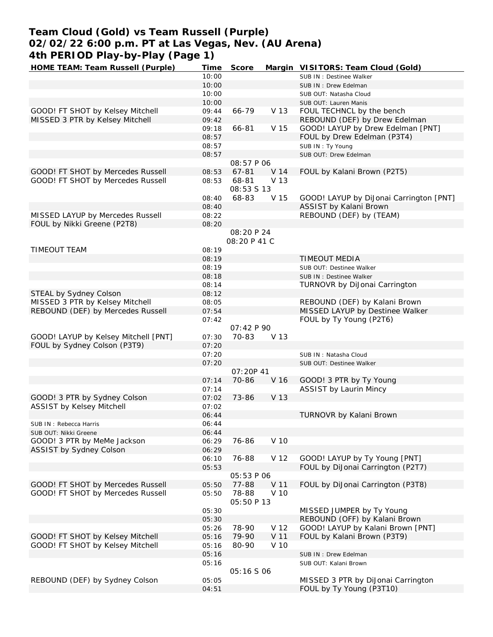# **Team Cloud (Gold) vs Team Russell (Purple) 02/02/22 6:00 p.m. PT at Las Vegas, Nev. (AU Arena) 4th PERIOD Play-by-Play (Page 1)**

| HOME TEAM: Team Russell (Purple)     | Time  | Score             |                 | Margin VISITORS: Team Cloud (Gold)      |
|--------------------------------------|-------|-------------------|-----------------|-----------------------------------------|
|                                      | 10:00 |                   |                 | SUB IN : Destinee Walker                |
|                                      | 10:00 |                   |                 | SUB IN: Drew Edelman                    |
|                                      | 10:00 |                   |                 | SUB OUT: Natasha Cloud                  |
|                                      | 10:00 |                   |                 | SUB OUT: Lauren Manis                   |
| GOOD! FT SHOT by Kelsey Mitchell     | 09:44 | 66-79             | V 13            | FOUL TECHNCL by the bench               |
| MISSED 3 PTR by Kelsey Mitchell      | 09:42 |                   |                 | REBOUND (DEF) by Drew Edelman           |
|                                      | 09:18 | 66-81             | V 15            | GOOD! LAYUP by Drew Edelman [PNT]       |
|                                      | 08:57 |                   |                 | FOUL by Drew Edelman (P3T4)             |
|                                      | 08:57 |                   |                 | SUB IN: Ty Young                        |
|                                      | 08:57 |                   |                 | SUB OUT: Drew Edelman                   |
|                                      |       | <i>08:57 P 06</i> |                 |                                         |
| GOOD! FT SHOT by Mercedes Russell    | 08:53 | 67-81             | V <sub>14</sub> | FOUL by Kalani Brown (P2T5)             |
| GOOD! FT SHOT by Mercedes Russell    | 08:53 | 68-81             | V 13            |                                         |
|                                      |       |                   |                 |                                         |
|                                      |       | 08:53 \$ 13       |                 |                                         |
|                                      | 08:40 | 68-83             | V 15            | GOOD! LAYUP by DiJonai Carrington [PNT] |
|                                      | 08:40 |                   |                 | ASSIST by Kalani Brown                  |
| MISSED LAYUP by Mercedes Russell     | 08:22 |                   |                 | REBOUND (DEF) by (TEAM)                 |
| FOUL by Nikki Greene (P2T8)          | 08:20 |                   |                 |                                         |
|                                      |       | 08:20 P 24        |                 |                                         |
|                                      |       | 08:20 P 41 C      |                 |                                         |
| <b>TIMEOUT TEAM</b>                  | 08:19 |                   |                 |                                         |
|                                      | 08:19 |                   |                 | TIMEOUT MEDIA                           |
|                                      | 08:19 |                   |                 | SUB OUT: Destinee Walker                |
|                                      | 08:18 |                   |                 | SUB IN: Destinee Walker                 |
|                                      | 08:14 |                   |                 | TURNOVR by DiJonai Carrington           |
| STEAL by Sydney Colson               | 08:12 |                   |                 |                                         |
| MISSED 3 PTR by Kelsey Mitchell      | 08:05 |                   |                 | REBOUND (DEF) by Kalani Brown           |
| REBOUND (DEF) by Mercedes Russell    | 07:54 |                   |                 | MISSED LAYUP by Destinee Walker         |
|                                      | 07:42 |                   |                 | FOUL by Ty Young (P2T6)                 |
|                                      |       | 07:42 P 90        |                 |                                         |
| GOOD! LAYUP by Kelsey Mitchell [PNT] | 07:30 | 70-83             | V 13            |                                         |
| FOUL by Sydney Colson (P3T9)         | 07:20 |                   |                 |                                         |
|                                      | 07:20 |                   |                 | SUB IN: Natasha Cloud                   |
|                                      | 07:20 |                   |                 | SUB OUT: Destinee Walker                |
|                                      |       | 07:20P 41         |                 |                                         |
|                                      |       | 70-86             |                 |                                         |
|                                      | 07:14 |                   | V <sub>16</sub> | GOOD! 3 PTR by Ty Young                 |
|                                      | 07:14 |                   |                 | ASSIST by Laurin Mincy                  |
| GOOD! 3 PTR by Sydney Colson         | 07:02 | 73-86             | V 13            |                                         |
| ASSIST by Kelsey Mitchell            | 07:02 |                   |                 |                                         |
|                                      | 06:44 |                   |                 | TURNOVR by Kalani Brown                 |
| SUB IN: Rebecca Harris               | 06:44 |                   |                 |                                         |
| SUB OUT: Nikki Greene                | 06:44 |                   |                 |                                         |
| GOOD! 3 PTR by MeMe Jackson          | 06:29 | 76-86             | V 10            |                                         |
| ASSIST by Sydney Colson              | 06:29 |                   |                 |                                         |
|                                      | 06:10 | 76-88             | V 12            | GOOD! LAYUP by Ty Young [PNT]           |
|                                      | 05:53 |                   |                 | FOUL by DiJonai Carrington (P2T7)       |
|                                      |       | <i>05:53 P 06</i> |                 |                                         |
| GOOD! FT SHOT by Mercedes Russell    | 05:50 | 77-88             | V 11            | FOUL by DiJonai Carrington (P3T8)       |
| GOOD! FT SHOT by Mercedes Russell    | 05:50 | 78-88             | V 10            |                                         |
|                                      |       | 05:50 P 13        |                 |                                         |
|                                      | 05:30 |                   |                 | MISSED JUMPER by Ty Young               |
|                                      | 05:30 |                   |                 | REBOUND (OFF) by Kalani Brown           |
|                                      | 05:26 | 78-90             | V 12            | GOOD! LAYUP by Kalani Brown [PNT]       |
| GOOD! FT SHOT by Kelsey Mitchell     | 05:16 | 79-90             | V 11            | FOUL by Kalani Brown (P3T9)             |
| GOOD! FT SHOT by Kelsey Mitchell     | 05:16 | 80-90             | V 10            |                                         |
|                                      | 05:16 |                   |                 | SUB IN: Drew Edelman                    |
|                                      | 05:16 |                   |                 |                                         |
|                                      |       |                   |                 | SUB OUT: Kalani Brown                   |
|                                      |       | <i>05:16 S 06</i> |                 |                                         |
| REBOUND (DEF) by Sydney Colson       | 05:05 |                   |                 | MISSED 3 PTR by DiJonai Carrington      |
|                                      | 04:51 |                   |                 | FOUL by Ty Young (P3T10)                |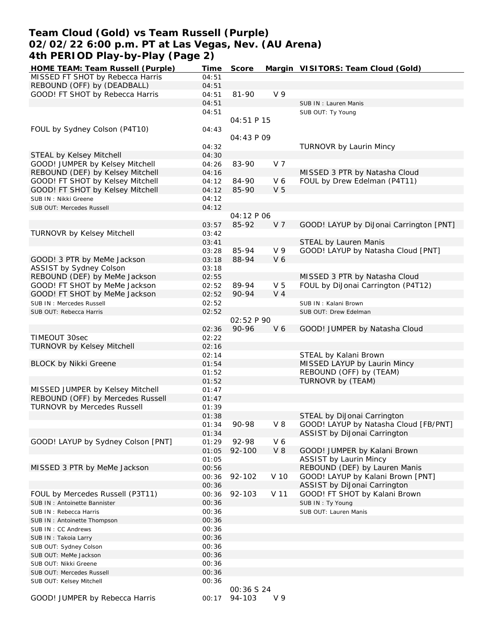## **Team Cloud (Gold) vs Team Russell (Purple) 02/02/22 6:00 p.m. PT at Las Vegas, Nev. (AU Arena) 4th PERIOD Play-by-Play (Page 2)**

| HOME TEAM: Team Russell (Purple)   | Time  | Score             |                | Margin VISITORS: Team Cloud (Gold)      |
|------------------------------------|-------|-------------------|----------------|-----------------------------------------|
| MISSED FT SHOT by Rebecca Harris   | 04:51 |                   |                |                                         |
| REBOUND (OFF) by (DEADBALL)        | 04:51 |                   |                |                                         |
| GOOD! FT SHOT by Rebecca Harris    | 04:51 | 81-90             | V <sub>9</sub> |                                         |
|                                    | 04:51 |                   |                | SUB IN: Lauren Manis                    |
|                                    | 04:51 |                   |                | SUB OUT: Ty Young                       |
|                                    |       | 04:51 P 15        |                |                                         |
| FOUL by Sydney Colson (P4T10)      | 04:43 |                   |                |                                         |
|                                    |       | 04:43 P 09        |                |                                         |
|                                    | 04:32 |                   |                | TURNOVR by Laurin Mincy                 |
| STEAL by Kelsey Mitchell           | 04:30 |                   |                |                                         |
| GOOD! JUMPER by Kelsey Mitchell    | 04:26 | 83-90             | V 7            |                                         |
| REBOUND (DEF) by Kelsey Mitchell   | 04:16 |                   |                |                                         |
|                                    |       |                   |                | MISSED 3 PTR by Natasha Cloud           |
| GOOD! FT SHOT by Kelsey Mitchell   | 04:12 | 84-90             | V6             | FOUL by Drew Edelman (P4T11)            |
| GOOD! FT SHOT by Kelsey Mitchell   | 04:12 | 85-90             | V <sub>5</sub> |                                         |
| SUB IN: Nikki Greene               | 04:12 |                   |                |                                         |
| SUB OUT: Mercedes Russell          | 04:12 |                   |                |                                         |
|                                    |       | 04:12 P 06        |                |                                         |
|                                    | 03:57 | 85-92             | V <sub>7</sub> | GOOD! LAYUP by DiJonai Carrington [PNT] |
| TURNOVR by Kelsey Mitchell         | 03:42 |                   |                |                                         |
|                                    | 03:41 |                   |                | STEAL by Lauren Manis                   |
|                                    | 03:28 | 85-94             | V <sub>9</sub> | GOOD! LAYUP by Natasha Cloud [PNT]      |
| GOOD! 3 PTR by MeMe Jackson        | 03:18 | 88-94             | V6             |                                         |
| ASSIST by Sydney Colson            | 03:18 |                   |                |                                         |
| REBOUND (DEF) by MeMe Jackson      | 02:55 |                   |                | MISSED 3 PTR by Natasha Cloud           |
| GOOD! FT SHOT by MeMe Jackson      | 02:52 | 89-94             | V <sub>5</sub> | FOUL by DiJonai Carrington (P4T12)      |
| GOOD! FT SHOT by MeMe Jackson      | 02:52 | 90-94             | V <sub>4</sub> |                                         |
| SUB IN: Mercedes Russell           | 02:52 |                   |                | SUB IN: Kalani Brown                    |
| SUB OUT: Rebecca Harris            | 02:52 |                   |                | SUB OUT: Drew Edelman                   |
|                                    |       | 02:52 P 90        |                |                                         |
|                                    | 02:36 | 90-96             | V <sub>6</sub> | GOOD! JUMPER by Natasha Cloud           |
| TIMEOUT 30sec                      | 02:22 |                   |                |                                         |
|                                    |       |                   |                |                                         |
| <b>TURNOVR by Kelsey Mitchell</b>  | 02:16 |                   |                |                                         |
|                                    | 02:14 |                   |                | STEAL by Kalani Brown                   |
| <b>BLOCK by Nikki Greene</b>       | 01:54 |                   |                | MISSED LAYUP by Laurin Mincy            |
|                                    | 01:52 |                   |                | REBOUND (OFF) by (TEAM)                 |
|                                    | 01:52 |                   |                | TURNOVR by (TEAM)                       |
| MISSED JUMPER by Kelsey Mitchell   | 01:47 |                   |                |                                         |
| REBOUND (OFF) by Mercedes Russell  | 01:47 |                   |                |                                         |
| <b>TURNOVR by Mercedes Russell</b> | 01:39 |                   |                |                                         |
|                                    | 01:38 |                   |                | STEAL by DiJonai Carrington             |
|                                    | 01:34 | 90-98             | $V_8$          | GOOD! LAYUP by Natasha Cloud [FB/PNT]   |
|                                    | 01:34 |                   |                | ASSIST by DiJonai Carrington            |
| GOOD! LAYUP by Sydney Colson [PNT] | 01:29 | 92-98             | V6             |                                         |
|                                    | 01:05 | 92-100            | $V_8$          | GOOD! JUMPER by Kalani Brown            |
|                                    | 01:05 |                   |                | <b>ASSIST by Laurin Mincy</b>           |
| MISSED 3 PTR by MeMe Jackson       | 00:56 |                   |                | REBOUND (DEF) by Lauren Manis           |
|                                    | 00:36 | 92-102            | V 10           | GOOD! LAYUP by Kalani Brown [PNT]       |
|                                    | 00:36 |                   |                | ASSIST by DiJonai Carrington            |
| FOUL by Mercedes Russell (P3T11)   | 00:36 | 92-103            | V 11           | GOOD! FT SHOT by Kalani Brown           |
| SUB IN: Antoinette Bannister       | 00:36 |                   |                | SUB IN: Ty Young                        |
|                                    | 00:36 |                   |                | SUB OUT: Lauren Manis                   |
| SUB IN: Rebecca Harris             |       |                   |                |                                         |
| SUB IN: Antoinette Thompson        | 00:36 |                   |                |                                         |
| SUB IN: CC Andrews                 | 00:36 |                   |                |                                         |
| SUB IN: Takoia Larry               | 00:36 |                   |                |                                         |
| SUB OUT: Sydney Colson             | 00:36 |                   |                |                                         |
| SUB OUT: MeMe Jackson              | 00:36 |                   |                |                                         |
| SUB OUT: Nikki Greene              | 00:36 |                   |                |                                         |
| SUB OUT: Mercedes Russell          | 00:36 |                   |                |                                         |
| SUB OUT: Kelsey Mitchell           | 00:36 |                   |                |                                         |
|                                    |       | <i>00:36 S 24</i> |                |                                         |
| GOOD! JUMPER by Rebecca Harris     | 00:17 | 94-103            | V9             |                                         |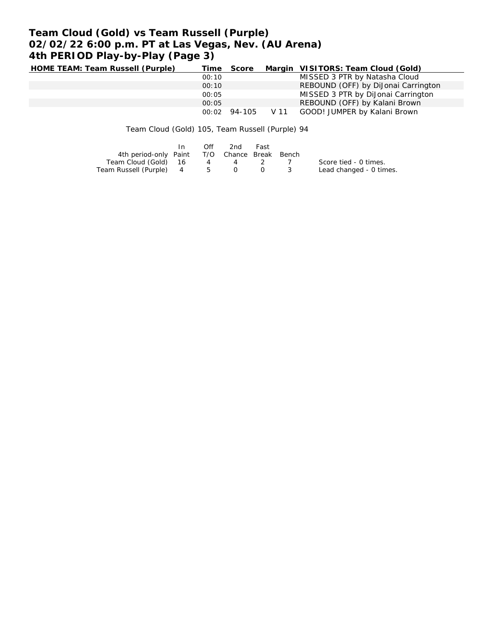# **Team Cloud (Gold) vs Team Russell (Purple) 02/02/22 6:00 p.m. PT at Las Vegas, Nev. (AU Arena) 4th PERIOD Play-by-Play (Page 3)**

| HOME TEAM: Team Russell (Purple) |       | Time Score |      | Margin VISITORS: Team Cloud (Gold)  |
|----------------------------------|-------|------------|------|-------------------------------------|
|                                  | 00:10 |            |      | MISSED 3 PTR by Natasha Cloud       |
|                                  | 00:10 |            |      | REBOUND (OFF) by DiJonai Carrington |
|                                  | 00:05 |            |      | MISSED 3 PTR by DiJonal Carrington  |
|                                  | 00:05 |            |      | REBOUND (OFF) by Kalani Brown       |
|                                  | 00:02 | 94-105     | V 11 | GOOD! JUMPER by Kalani Brown        |

Team Cloud (Gold) 105, Team Russell (Purple) 94

|                                              | $\mathsf{In}$ | Off | 2nd | Fast |                         |
|----------------------------------------------|---------------|-----|-----|------|-------------------------|
| 4th period-only Paint T/O Chance Break Bench |               |     |     |      |                         |
| Team Cloud (Gold) 16 4 4 2 7                 |               |     |     |      | Score tied - 0 times.   |
| Team Russell (Purple) 4 5 0 0 3              |               |     |     |      | Lead changed - 0 times. |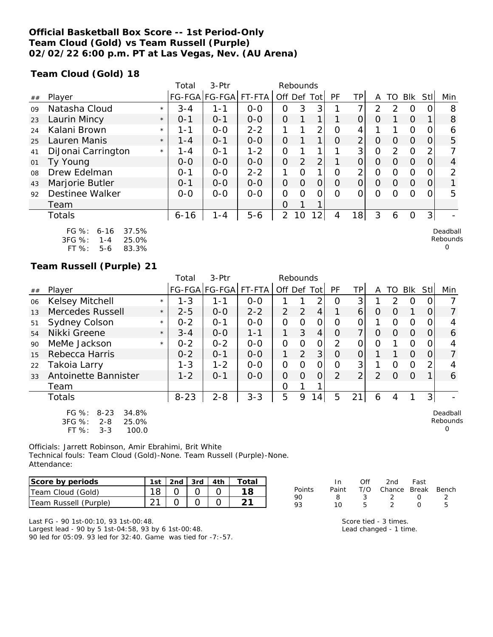## **Official Basketball Box Score -- 1st Period-Only Team Cloud (Gold) vs Team Russell (Purple) 02/02/22 6:00 p.m. PT at Las Vegas, Nev. (AU Arena)**

**Team Cloud (Gold) 18**

|    |                                                                                       |         | Total    | $3-$ Ptr              |         |                | Rebounds     |                |          |                |                |                |          |          |                                  |
|----|---------------------------------------------------------------------------------------|---------|----------|-----------------------|---------|----------------|--------------|----------------|----------|----------------|----------------|----------------|----------|----------|----------------------------------|
| ## | Player                                                                                |         |          | FG-FGA FG-FGA  FT-FTA |         | Off Def        |              | Tot            | PF       | ΤP             | A              | TO             | Blk      | Stll     | Min                              |
| 09 | Natasha Cloud                                                                         | $\star$ | $3 - 4$  | $1 - 1$               | $0 - 0$ | 0              | 3            | 3              |          | 7              | 2              | 2              | 0        |          | 8                                |
| 23 | Laurin Mincy                                                                          | $\star$ | $0 - 1$  | $O - 1$               | $0 - 0$ | $\overline{O}$ | $\mathbf{1}$ | 1 <sub>1</sub> |          | 0              | $\Omega$       |                | $\Omega$ |          | 8                                |
| 24 | Kalani Brown                                                                          | $\star$ | 1-1      | $O-O$                 | $2 - 2$ |                | 1            | $\overline{2}$ | $\Omega$ | 4              |                |                | $\Omega$ |          | 6                                |
| 25 | Lauren Manis                                                                          | $\star$ | 1 - 4    | $0 - 1$               | $0 - 0$ | $\overline{O}$ |              | 1              | O        | $\overline{2}$ | 0              | $\Omega$       | $\Omega$ | $\Omega$ | 5                                |
| 41 | DiJonai Carrington                                                                    | $\star$ | 1 - 4    | $O - 1$               | $1 - 2$ | $\overline{O}$ |              | 1 <sub>1</sub> |          | 3              | $\overline{O}$ | $\overline{2}$ | $\Omega$ |          |                                  |
| 01 | Ty Young                                                                              |         | $0 - 0$  | $0-0$                 | $0-0$   | $\Omega$       | 2            | $\overline{2}$ |          | $\overline{O}$ | $\Omega$       | $\Omega$       | $\Omega$ | $\Omega$ | $\overline{4}$                   |
| 08 | Drew Edelman                                                                          |         | $0 - 1$  | $0-0$                 | $2 - 2$ | 1              | $\Omega$     | 1              | $\Omega$ | 2              | 0              | $\Omega$       | $\Omega$ |          | 2                                |
| 43 | Marjorie Butler                                                                       |         | $0 - 1$  | $0 - 0$               | $0 - 0$ | $\overline{O}$ | $\Omega$     | $\overline{O}$ | $\Omega$ | $\overline{O}$ | $\Omega$       | $\Omega$       | $\Omega$ | $\Omega$ |                                  |
| 92 | Destinee Walker                                                                       |         | $O-O$    | $0-0$                 | $0-0$   | 0              | Ω            | 0              | ∩        | O              | 0              | $\Omega$       | $\Omega$ |          | 5                                |
|    | Team                                                                                  |         |          |                       |         | $\Omega$       | 1            |                |          |                |                |                |          |          |                                  |
|    | <b>Totals</b>                                                                         |         | $6 - 16$ | $1 - 4$               | $5-6$   | $\overline{2}$ | 10           | 12             | 4        | 18             | 3              | 6              | $\Omega$ | 3        |                                  |
|    | FG %:<br>37.5%<br>$6 - 16$<br>3FG %:<br>25.0%<br>$1 - 4$<br>FT %:<br>83.3%<br>$5 - 6$ |         |          |                       |         |                |              |                |          |                |                |                |          |          | Deadball<br>Rebounds<br>$\Omega$ |

### **Team Russell (Purple) 21**

|    |                                                                                           |         | Total    | 3-Ptr         |         | Rebounds      |          |                |    |                |                |               |          |                |                           |
|----|-------------------------------------------------------------------------------------------|---------|----------|---------------|---------|---------------|----------|----------------|----|----------------|----------------|---------------|----------|----------------|---------------------------|
| ## | Player                                                                                    |         |          | FG-FGA FG-FGA | FT-FTA  | Off Def Tot   |          |                | PF | TP             | A              | TO            | Blk      | <b>Stl</b>     | Min                       |
| 06 | <b>Kelsey Mitchell</b>                                                                    | $\star$ | $1 - 3$  | $1 - 1$       | $0 - 0$ |               |          | 2              | Ω  | 3              |                | $\mathcal{P}$ | $\Omega$ | 0              |                           |
| 13 | Mercedes Russell                                                                          | $\star$ | $2 - 5$  | $0 - 0$       | $2 - 2$ | 2             | 2        | $\overline{4}$ |    | 6              | $\Omega$       | O             |          | 0              | $\overline{7}$            |
| 51 | <b>Sydney Colson</b>                                                                      | $\star$ | $0 - 2$  | $O - 1$       | $0 - 0$ | $\mathbf{O}$  | O        | $\mathcal{O}$  | 0  | 0              |                | O             | O        | 0              |                           |
| 54 | Nikki Greene                                                                              | $\star$ | $3 - 4$  | $0 - 0$       | $1 - 1$ | 1             | 3        | $\overline{4}$ | O  | 7              | $\Omega$       | O             | $\Omega$ | 0              | 6                         |
| 90 | MeMe Jackson                                                                              | $\star$ | $0 - 2$  | $0 - 2$       | $0 - 0$ | $\mathcal{O}$ | 0        | $\mathcal{O}$  | 2  | 0              | O              |               | $\Omega$ | 0              |                           |
| 15 | Rebecca Harris                                                                            |         | $0 - 2$  | $0 - 1$       | $0 - 0$ | 1             | 2        | 3              | O  | 0              |                |               | $\Omega$ | 0              | 7                         |
| 22 | Takoia Larry                                                                              |         | $1 - 3$  | $1 - 2$       | $0-0$   | $\mathcal{O}$ | 0        | 0              | 0  | 3              |                | O             | $\Omega$ | 2              |                           |
| 33 | Antoinette Bannister                                                                      |         | $1 - 2$  | $0 - 1$       | $0-0$   | $\Omega$      | $\Omega$ | $\overline{O}$ | 2  | $\overline{2}$ | $\overline{2}$ | $\Omega$      | $\Omega$ |                | 6                         |
|    | Team                                                                                      |         |          |               |         | O             |          |                |    |                |                |               |          |                |                           |
|    | <b>Totals</b>                                                                             |         | $8 - 23$ | $2 - 8$       | $3 - 3$ | 5             | 9        | 14             | 5  | 21             | 6              | 4             |          | 3 <sub>l</sub> |                           |
|    | $FG \%$ :<br>34.8%<br>$8 - 23$<br>3FG %:<br>25.0%<br>$2 - 8$<br>FT %:<br>100.0<br>$3 - 3$ |         |          |               |         |               |          |                |    |                |                |               |          |                | Deadball<br>Rebounds<br>O |

Officials: Jarrett Robinson, Amir Ebrahimi, Brit White Technical fouls: Team Cloud (Gold)-None. Team Russell (Purple)-None. Attendance:

| Score by periods      | 1st | $\vert$ 2nd $\vert$ 3rd $\vert$ 4th |  | Total |
|-----------------------|-----|-------------------------------------|--|-------|
| Team Cloud (Gold)     |     |                                     |  |       |
| Team Russell (Purple) |     |                                     |  |       |

|               | In.   | ∩ff | 2nd                    | Fast             |   |
|---------------|-------|-----|------------------------|------------------|---|
| <b>Points</b> | Paint |     | T/O Chance Break Bench |                  |   |
| 90            | я     | -3  |                        | $\left( \right)$ |   |
| 93            | 10.   | h   |                        | $\left( \right)$ | h |
|               |       |     |                        |                  |   |

Last FG - 90 1st-00:10, 93 1st-00:48. Largest lead - 90 by 5 1st-04:58, 93 by 6 1st-00:48. 90 led for 05:09. 93 led for 32:40. Game was tied for -7:-57. Score tied - 3 times. Lead changed - 1 time.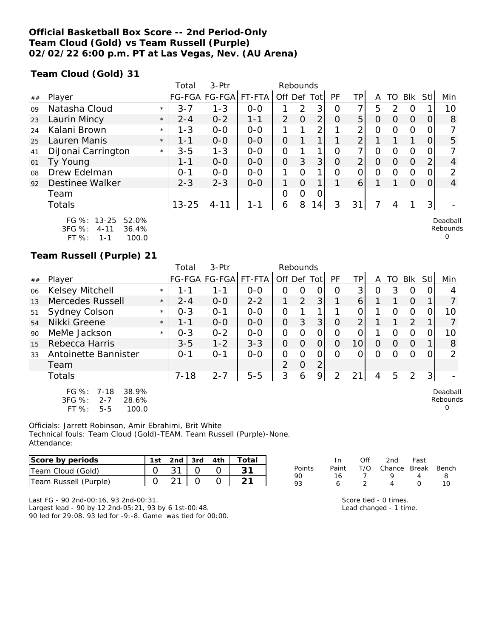## **Official Basketball Box Score -- 2nd Period-Only Team Cloud (Gold) vs Team Russell (Purple) 02/02/22 6:00 p.m. PT at Las Vegas, Nev. (AU Arena)**

**Team Cloud (Gold) 31**

|    |                                                     |         | Total     | 3-Ptr         |         |                | Rebounds |                 |                |                |   |               |                |                |                      |
|----|-----------------------------------------------------|---------|-----------|---------------|---------|----------------|----------|-----------------|----------------|----------------|---|---------------|----------------|----------------|----------------------|
| ## | Player                                              |         |           | FG-FGA FG-FGA | FT-FTA  | Off Def        |          | Totl            | PF             | TP             | A | TO            | Blk            | Stll           | Min                  |
| 09 | Natasha Cloud                                       | $\star$ | $3 - 7$   | $1 - 3$       | $0 - 0$ |                | 2        | 3               | O              | 7              | 5 | $\mathcal{P}$ | $\Omega$       |                | 10                   |
| 23 | Laurin Mincy                                        | $\star$ | $2 - 4$   | $0 - 2$       | $1 - 1$ | $\overline{2}$ | $\Omega$ | $\overline{2}$  | $\Omega$       | 5 <sup>1</sup> | O | O             | $\Omega$       | O              | 8                    |
| 24 | Kalani Brown                                        | $\star$ | $1 - 3$   | $0-0$         | $0-0$   |                |          | 2               |                | ⌒              | 0 | Ω             | 0              |                |                      |
| 25 | Lauren Manis                                        | $\star$ | 1-1       | $0 - 0$       | $0 - 0$ | $\Omega$       |          |                 |                | ⌒              | 1 |               | 1              | Ω              | 5                    |
| 41 | DiJonai Carrington                                  | $\star$ | $3 - 5$   | $1 - 3$       | $0 - 0$ | $\overline{O}$ |          |                 | Ω              | ᄀ              | Ω | Ω             | 0              | O              |                      |
| 01 | Ty Young                                            |         | $1 - 1$   | $0-0$         | $0-0$   | $\overline{O}$ | 3        | 3               | $\overline{0}$ | $\overline{2}$ | 0 | O             | $\overline{0}$ | 2 <sub>1</sub> | 4                    |
| 08 | Drew Edelman                                        |         | $0 - 1$   | $O-O$         | $0-0$   | 1              | O        | 1               | $\Omega$       | O              | 0 | Ω             | 0              |                | 2                    |
| 92 | <b>Destinee Walker</b>                              |         | $2 - 3$   | $2 - 3$       | $0 - 0$ | 1              | $\Omega$ |                 |                | 6              |   |               | $\Omega$       | Ο              | 4                    |
|    | Team                                                |         |           |               |         | 0              | 0        | 0               |                |                |   |               |                |                |                      |
|    | <b>Totals</b>                                       |         | $13 - 25$ | $4 - 11$      | $1 - 1$ | 6              | 8        | 14 <sub>1</sub> | 3              | 31             |   | 4             |                | 3 <sub>l</sub> |                      |
|    | FG %: 13-25<br>52.0%<br>3FG %:<br>36.4%<br>$4 - 11$ |         |           |               |         |                |          |                 |                |                |   |               |                |                | Deadball<br>Rebounds |

FT %: 1-1 100.0

### **Team Russell (Purple) 21**

|    |                                                                                          |         | Total    | $3-Ptr$       |         | Rebounds      |          |                |          |                |          |                  |          |                |                           |
|----|------------------------------------------------------------------------------------------|---------|----------|---------------|---------|---------------|----------|----------------|----------|----------------|----------|------------------|----------|----------------|---------------------------|
| ## | Player                                                                                   |         |          | FG-FGA FG-FGA | FT-FTA  | Off Def Tot   |          |                | PF       | TP             | A        | TO.              | Blk      | StII           | Min                       |
| 06 | Kelsey Mitchell                                                                          | $\star$ | 1-1      | 1 - 1         | $O-O$   | 0             | Ο        | 0              | O        | 3              | O        | 3                | Ο        | O              |                           |
| 13 | Mercedes Russell                                                                         | $\star$ | $2 - 4$  | $0 - 0$       | $2 - 2$ |               | 2        | 3              |          | 6              |          |                  | O        |                |                           |
| 51 | Sydney Colson                                                                            | $\star$ | $0 - 3$  | $O - 1$       | $0 - 0$ | 0             |          |                |          |                |          | O                | $\circ$  | 0              | 10                        |
| 54 | Nikki Greene                                                                             | $\star$ | 1-1      | $0 - 0$       | $0 - 0$ | $\Omega$      | 3        | 3              | $\circ$  | $\overline{2}$ |          |                  | 2        |                |                           |
| 90 | MeMe Jackson                                                                             | $\star$ | $0 - 3$  | $0 - 2$       | $0 - 0$ | 0             | 0        | O              | O        | 0              |          | O                | O        | O.             | 10                        |
| 15 | Rebecca Harris                                                                           |         | $3 - 5$  | $1 - 2$       | $3 - 3$ | $\Omega$      | $\Omega$ | $\overline{O}$ | $\Omega$ | 10             | $\Omega$ | $\Omega$         | $\Omega$ |                | 8                         |
| 33 | Antoinette Bannister                                                                     |         | $0 - 1$  | $0 - 1$       | $O-O$   | 0             | $\Omega$ | $\Omega$       | $\Omega$ | 0              | $\Omega$ | $\left( \right)$ | $\Omega$ | O              | $\mathcal{P}$             |
|    | Team                                                                                     |         |          |               |         | $\mathcal{P}$ | 0        | 2              |          |                |          |                  |          |                |                           |
|    | Totals                                                                                   |         | $7 - 18$ | $2 - 7$       | $5 - 5$ | 3             | 6        | 9              | 2        | 21             | 4        | 5                | 2        | 3 <sup>1</sup> |                           |
|    | 38.9%<br>FG $%$ :<br>$7 - 18$<br>3FG %:<br>$2 - 7$<br>28.6%<br>FT %:<br>100.0<br>$5 - 5$ |         |          |               |         |               |          |                |          |                |          |                  |          |                | Deadball<br>Rebounds<br>O |

Officials: Jarrett Robinson, Amir Ebrahimi, Brit White Technical fouls: Team Cloud (Gold)-TEAM. Team Russell (Purple)-None. Attendance:

| Score by periods      |  | 2nd $\sqrt{3}$ 3rd $\sqrt{4}$ 4th |  |
|-----------------------|--|-----------------------------------|--|
| Team Cloud (Gold)     |  |                                   |  |
| Team Russell (Purple) |  |                                   |  |

|        | In.   | ∩ff | 2nd                    | Fast   |    |
|--------|-------|-----|------------------------|--------|----|
| Points | Paint |     | T/O Chance Break Bench |        |    |
| 90     | 16    |     | Q                      | Δ      | я  |
| 93     | 6     |     |                        | $\cap$ | 10 |

0

Last FG - 90 2nd-00:16, 93 2nd-00:31.

Largest lead - 90 by 12 2nd-05:21, 93 by 6 1st-00:48. 90 led for 29:08. 93 led for -9:-8. Game was tied for 00:00.

| Score tied - 0 times.  |
|------------------------|
| Lead changed - 1 time. |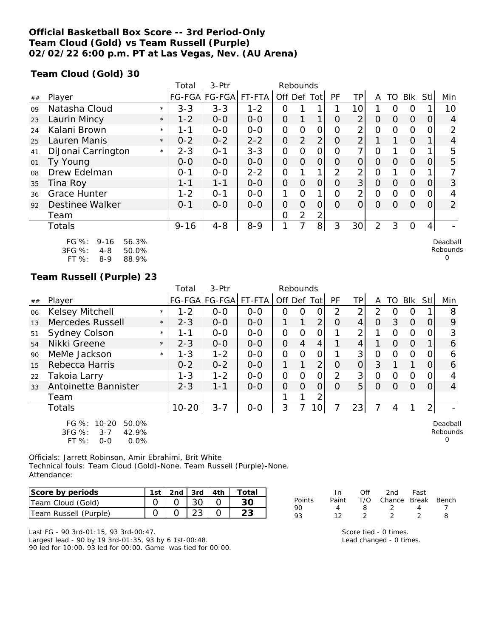## **Official Basketball Box Score -- 3rd Period-Only Team Cloud (Gold) vs Team Russell (Purple) 02/02/22 6:00 p.m. PT at Las Vegas, Nev. (AU Arena)**

**Team Cloud (Gold) 30**

|    |                                                                                       |         | Total    | 3-Ptr         |         | Rebounds       |                |                |           |                 |                |    |                |      |                           |
|----|---------------------------------------------------------------------------------------|---------|----------|---------------|---------|----------------|----------------|----------------|-----------|-----------------|----------------|----|----------------|------|---------------------------|
| ## | Player                                                                                |         |          | FG-FGA FG-FGA | FT-FTA  | Off Def Tot    |                |                | <b>PF</b> | TP.             | A              | TO | Blk            | Stll | Min                       |
| 09 | Natasha Cloud                                                                         | $\star$ | $3 - 3$  | $3 - 3$       | $1 - 2$ | Ο              |                | 1              |           | 10              |                | Ω  | 0              |      | 10                        |
| 23 | Laurin Mincy                                                                          | $\star$ | $1 - 2$  | $0-0$         | $0-0$   | 0              |                | 1              | Ο         | $\overline{2}$  | 0              | 0  | $\Omega$       | O    | 4                         |
| 24 | Kalani Brown                                                                          | $\star$ | 1-1      | $0-0$         | $0-0$   | O              | 0              | 0              | Ω         | 2               | Ο              | Ο  | 0              |      | 2                         |
| 25 | Lauren Manis                                                                          | $\star$ | $0 - 2$  | $0 - 2$       | $2 - 2$ | $\mathcal{O}$  | $\overline{2}$ | $\overline{2}$ | O         | $\overline{2}$  |                | 1. | $\Omega$       |      | 4                         |
| 41 | DiJonai Carrington                                                                    | $\star$ | $2 - 3$  | $O - 1$       | $3 - 3$ | O              | 0              | 0              | O         | 7               | Ο              |    | $\overline{O}$ |      | 5                         |
| 01 | Ty Young                                                                              |         | $0-0$    | $0-0$         | $O-O$   | $\overline{O}$ | $\overline{O}$ | $\overline{O}$ | O         | $\overline{O}$  | $\Omega$       | 0  | $\Omega$       | 0    | 5                         |
| 08 | Drew Edelman                                                                          |         | $0 - 1$  | $0-0$         | $2 - 2$ | $\overline{O}$ |                | 1              | 2         | 2               | 0              |    | $\overline{O}$ |      |                           |
| 35 | Tina Roy                                                                              |         | $1 - 1$  | $1 - 1$       | $0-0$   | $\overline{O}$ | $\overline{O}$ | $\overline{O}$ | $\Omega$  | 3 <sup>1</sup>  | $\overline{O}$ | 0  | $\Omega$       | Ο    | 3                         |
| 36 | <b>Grace Hunter</b>                                                                   |         | $1 - 2$  | $O - 1$       | $O-O$   | 1              | $\Omega$       | 1              | O         | 2               | $\overline{O}$ | 0  | $\Omega$       | 0    | 4                         |
| 92 | Destinee Walker                                                                       |         | $0 - 1$  | $O-O$         | $0 - 0$ | $\mathcal{O}$  | 0              | 0              | $\Omega$  | $\Omega$        | O              | Ω  | $\Omega$       | 0    | $\overline{2}$            |
|    | Team                                                                                  |         |          |               |         | O              | 2              | $\overline{2}$ |           |                 |                |    |                |      |                           |
|    | <b>Totals</b>                                                                         |         | $9 - 16$ | $4 - 8$       | $8 - 9$ | 1              | 7              | 8 <sup>1</sup> | 3         | 30 <sup>2</sup> | 2              | 3  | $\Omega$       | 4    |                           |
|    | FG %:<br>$9 - 16$<br>56.3%<br>3FG %:<br>50.0%<br>$4 - 8$<br>FT %:<br>88.9%<br>$8 - 9$ |         |          |               |         |                |                |                |           |                 |                |    |                |      | Deadball<br>Rebounds<br>0 |

**Team Russell (Purple) 23**

|    |                                                                                     |         | Total     | $3-Ptr$              |         | Rebounds |                |                 |               |                |               |          |          |             |                           |
|----|-------------------------------------------------------------------------------------|---------|-----------|----------------------|---------|----------|----------------|-----------------|---------------|----------------|---------------|----------|----------|-------------|---------------------------|
| ## | Player                                                                              |         |           | FG-FGA FG-FGA FT-FTA |         |          |                | Off Def Tot     | <b>PF</b>     | TP             | A             | TO       | Blk      | <b>Stll</b> | Min                       |
| 06 | Kelsey Mitchell                                                                     | $\star$ | $1 - 2$   | $0 - 0$              | $O-O$   | $\Omega$ | Ω              | 0               | $\mathcal{P}$ | $\overline{2}$ | $\mathcal{P}$ | $\Omega$ | $\Omega$ |             | 8                         |
| 13 | Mercedes Russell                                                                    | $\star$ | $2 - 3$   | $0 - 0$              | $0 - 0$ |          |                | $\overline{2}$  | Ο             | 4              | 0             | 3        | $\Omega$ |             | 9                         |
| 51 | <b>Sydney Colson</b>                                                                | $\star$ | 1-1       | $0 - 0$              | $0 - 0$ | 0        | O              | 0               |               | 2              |               | $\Omega$ | $\Omega$ |             | 3                         |
| 54 | Nikki Greene                                                                        | $\star$ | $2 - 3$   | $0 - 0$              | $0 - 0$ | 0        | $\overline{4}$ | $\overline{4}$  |               | 4              |               | $\Omega$ | $\Omega$ |             | 6                         |
| 90 | MeMe Jackson                                                                        | $\star$ | $1 - 3$   | $1 - 2$              | $0 - 0$ | $\Omega$ | $\Omega$       | 0               |               | 3 <sup>1</sup> | 0             | $\Omega$ | $\Omega$ |             | 6                         |
| 15 | Rebecca Harris                                                                      |         | $0 - 2$   | $0 - 2$              | $0 - 0$ |          |                | $\overline{2}$  | Ο             | $\Omega$       | 3             |          |          |             | 6                         |
| 22 | Takoia Larry                                                                        |         | $1 - 3$   | $1 - 2$              | $0 - 0$ | $\Omega$ | $\Omega$       | 0               | 2             | 3 <sub>l</sub> | 0             | 0        | $\Omega$ |             | 4                         |
| 33 | Antoinette Bannister                                                                |         | $2 - 3$   | $1 - 1$              | $0 - 0$ | 0        | $\Omega$       | 0               | 0             | 5              | 0             | 0        | $\Omega$ |             | 4                         |
|    | Team                                                                                |         |           |                      |         |          |                | 2               |               |                |               |          |          |             |                           |
|    | Totals                                                                              |         | $10 - 20$ | $3 - 7$              | $O-O$   | 3        |                | 10 <sup>1</sup> | 7             | 23             | 7             | 4        |          | 2           |                           |
|    | FG %:<br>$10 - 20$<br>50.0%<br>3FG %:<br>42.9%<br>$3 - 7$<br>FT %:<br>0.0%<br>$O-O$ |         |           |                      |         |          |                |                 |               |                |               |          |          |             | Deadball<br>Rebounds<br>0 |

Officials: Jarrett Robinson, Amir Ebrahimi, Brit White Technical fouls: Team Cloud (Gold)-None. Team Russell (Purple)-None. Attendance:

| Score by periods      | 1st   2nd   3rd   4th |  | Total |
|-----------------------|-----------------------|--|-------|
| Team Cloud (Gold)     |                       |  |       |
| Team Russell (Purple) |                       |  |       |

Last FG - 90 3rd-01:15, 93 3rd-00:47. Largest lead - 90 by 19 3rd-01:35, 93 by 6 1st-00:48. 90 led for 10:00. 93 led for 00:00. Game was tied for 00:00.

| -In |   |                |     |                                          |
|-----|---|----------------|-----|------------------------------------------|
| 4   | 8 | $\overline{2}$ | 4   |                                          |
| 12  |   |                |     | R                                        |
|     |   |                | Off | 2nd Fast<br>Paint T/O Chance Break Bench |

Score tied - 0 times. Lead changed - 0 times.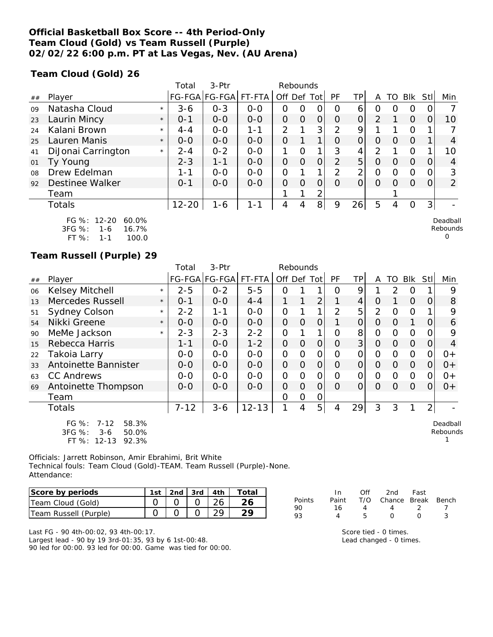## **Official Basketball Box Score -- 4th Period-Only Team Cloud (Gold) vs Team Russell (Purple) 02/02/22 6:00 p.m. PT at Las Vegas, Nev. (AU Arena)**

**Team Cloud (Gold) 26**

|    |                               | Total     | $3-Ptr$       |         |                | Rebounds       |                |               |                |                |          |            |                |                |
|----|-------------------------------|-----------|---------------|---------|----------------|----------------|----------------|---------------|----------------|----------------|----------|------------|----------------|----------------|
| ## | Player                        |           | FG-FGA FG-FGA | FT-FTA  | Off Def Tot    |                |                | <b>PF</b>     | TP             | A              | TO       | <b>BIK</b> | Stll           | Min            |
| 09 | Natasha Cloud<br>$\star$      | $3 - 6$   | $0 - 3$       | $O - O$ | 0              | O              | $\mathcal{O}$  | Ο             | 6              | 0              | O        | O          | 0              |                |
| 23 | Laurin Mincy<br>$\star$       | $0 - 1$   | $0 - 0$       | $0 - 0$ | 0              | $\overline{O}$ | $\overline{O}$ | $\Omega$      | $\Omega$       | 2              |          | $\Omega$   | 0              | 10             |
| 24 | Kalani Brown<br>$\star$       | $4 - 4$   | $0 - 0$       | $1 - 1$ | $\overline{2}$ |                | 3              | 2             | 9              |                |          | 0          |                |                |
| 25 | Lauren Manis<br>$\star$       | $0 - 0$   | $0 - 0$       | $0 - 0$ | O              |                | 1              | $\Omega$      | O              | $\Omega$       | O        | $\Omega$   |                | 4              |
| 41 | DiJonai Carrington<br>$\star$ | $2 - 4$   | $0 - 2$       | $O-O$   | 1              | $\Omega$       | $\mathbf{1}$   | 3             | 4              | $\mathcal{P}$  |          | 0          | 1              | 10             |
| 01 | Ty Young                      | $2 - 3$   | $1 - 1$       | $0 - 0$ | 0              | $\Omega$       | $\Omega$       | $\mathcal{P}$ | 5              | $\circ$        | $\Omega$ | $\Omega$   | 0              | 4              |
| 08 | Drew Edelman                  | 1-1       | $0 - 0$       | $0 - 0$ | O              |                | 1              | 2             | $\overline{2}$ | $\overline{O}$ | O        | 0          | 0              | 3              |
| 92 | Destinee Walker               | $O - 1$   | $0 - 0$       | $0 - 0$ | $\overline{O}$ | $\Omega$       | $\Omega$       | $\Omega$      | $\overline{O}$ | $\Omega$       | $\Omega$ | $\Omega$   | 0              | $\overline{2}$ |
|    | Team                          |           |               |         |                |                | 2              |               |                |                |          |            |                |                |
|    | Totals                        | $12 - 20$ | $1 - 6$       | $1 - 1$ | 4              | 4              | 8 <sup>1</sup> | 9             | 26             | 5              | 4        | 0          | 3 <sub>l</sub> |                |
|    | FG %: 12-20<br>60.0%          |           |               |         |                |                |                |               |                |                |          |            |                | Deadball       |

| FU 70.    |     | 12-20 00.070 |
|-----------|-----|--------------|
| 3FG %:    | 1-6 | 16.7%        |
| FT $\%$ : | 1-1 | 100.0        |

### **Team Russell (Purple) 29**

|    |                                                        |         | Total    | 3-Ptr                |           |                | Rebounds |                |                |           |                |               |            |                |                      |
|----|--------------------------------------------------------|---------|----------|----------------------|-----------|----------------|----------|----------------|----------------|-----------|----------------|---------------|------------|----------------|----------------------|
| ## | Player                                                 |         |          | FG-FGA FG-FGA FT-FTA |           | Off Def        |          | Tot            | PF             | <b>TP</b> | A              | TO            | <b>Blk</b> | Stl            | Min                  |
| 06 | Kelsey Mitchell                                        | $\star$ | $2 - 5$  | $0 - 2$              | $5 - 5$   | Ο              |          |                | Ω              | 9         |                | $\mathcal{P}$ | O          |                | 9                    |
| 13 | Mercedes Russell                                       | $\star$ | $0 - 1$  | $O-O$                | $4 - 4$   | 1              |          | $\overline{2}$ |                | 4         | Ο              |               | $\Omega$   | O              | 8                    |
| 51 | <b>Sydney Colson</b>                                   | $\star$ | $2 - 2$  | 1 - 1                | $O - O$   | 0              |          | 1              | $\overline{2}$ | 5         | 2              | Ω             | $\Omega$   |                | 9                    |
| 54 | Nikki Greene                                           | $\star$ | $O-O$    | $0 - 0$              | $0 - 0$   | 0              | 0        | O              |                | 0         | 0              | $\Omega$      | 1          | O              | 6                    |
| 90 | MeMe Jackson                                           | $\star$ | $2 - 3$  | $2 - 3$              | $2 - 2$   | 0              |          | 1              | 0              | 8         | 0              | 0             | $\Omega$   | Ω              | 9                    |
| 15 | Rebecca Harris                                         |         | 1-1      | $0 - 0$              | $1 - 2$   | 0              | O        | 0              | Ο              | 3         | 0              | O             | $\Omega$   | 0              | 4                    |
| 22 | Takoia Larry                                           |         | $O-O$    | $0-0$                | $0-0$     | 0              | O        | 0              | 0              | 0         | $\overline{O}$ | $\Omega$      | $\Omega$   | 0              | $0+$                 |
| 33 | Antoinette Bannister                                   |         | $0 - 0$  | $0 - 0$              | $0 - 0$   | $\overline{O}$ | $\Omega$ | $\Omega$       | Ο              | 0         | 0              | O             | $\Omega$   | 0              | $0+$                 |
| 63 | <b>CC Andrews</b>                                      |         | $0-0$    | $O-O$                | $0-0$     | 0              | $\Omega$ | O              | Ω              | 0         | $\Omega$       | $\Omega$      | $\Omega$   | Ω              | $O +$                |
| 69 | Antoinette Thompson                                    |         | $0 - 0$  | $0 - 0$              | $0-0$     | 0              | $\Omega$ | O              | Ω              | 0         | Ω              | Ω             | $\Omega$   | Ω              | $0+$                 |
|    | Team                                                   |         |          |                      |           | 0              | 0        | O              |                |           |                |               |            |                |                      |
|    | <b>Totals</b>                                          |         | $7 - 12$ | $3 - 6$              | $12 - 13$ | 1              | 4        | 5 <sub>1</sub> | 4              | 29        | 3              | 3             |            | 2 <sub>1</sub> |                      |
|    | $FG \%$ :<br>58.3%<br>7-12<br>3FG %:<br>50.0%<br>$3-6$ |         |          |                      |           |                |          |                |                |           |                |               |            |                | Deadball<br>Rebounds |

3FG %: 3-6 50.0% FT %: 12-13 92.3%

Officials: Jarrett Robinson, Amir Ebrahimi, Brit White Technical fouls: Team Cloud (Gold)-TEAM. Team Russell (Purple)-None. Attendance:

| Score by periods      | 1st |  | 2nd $\sqrt{3}$ 3rd $\sqrt{4}$ 4th $\sqrt{2}$ | Total |
|-----------------------|-----|--|----------------------------------------------|-------|
| Team Cloud (Gold)     |     |  |                                              |       |
| Team Russell (Purple) |     |  |                                              |       |

Last FG - 90 4th-00:02, 93 4th-00:17. Largest lead - 90 by 19 3rd-01:35, 93 by 6 1st-00:48. 90 led for 00:00. 93 led for 00:00. Game was tied for 00:00.

| Points | In.<br>Paint | Off | 2nd<br>T/O Chance Break Bench | Fast             |   |
|--------|--------------|-----|-------------------------------|------------------|---|
| 90     | 16           | Δ   |                               | - 2              |   |
| 93     |              | h   | $\sqrt{ }$                    | $\left( \right)$ | ર |
|        |              |     |                               |                  |   |

Rebounds 0

1

Score tied - 0 times. Lead changed - 0 times.